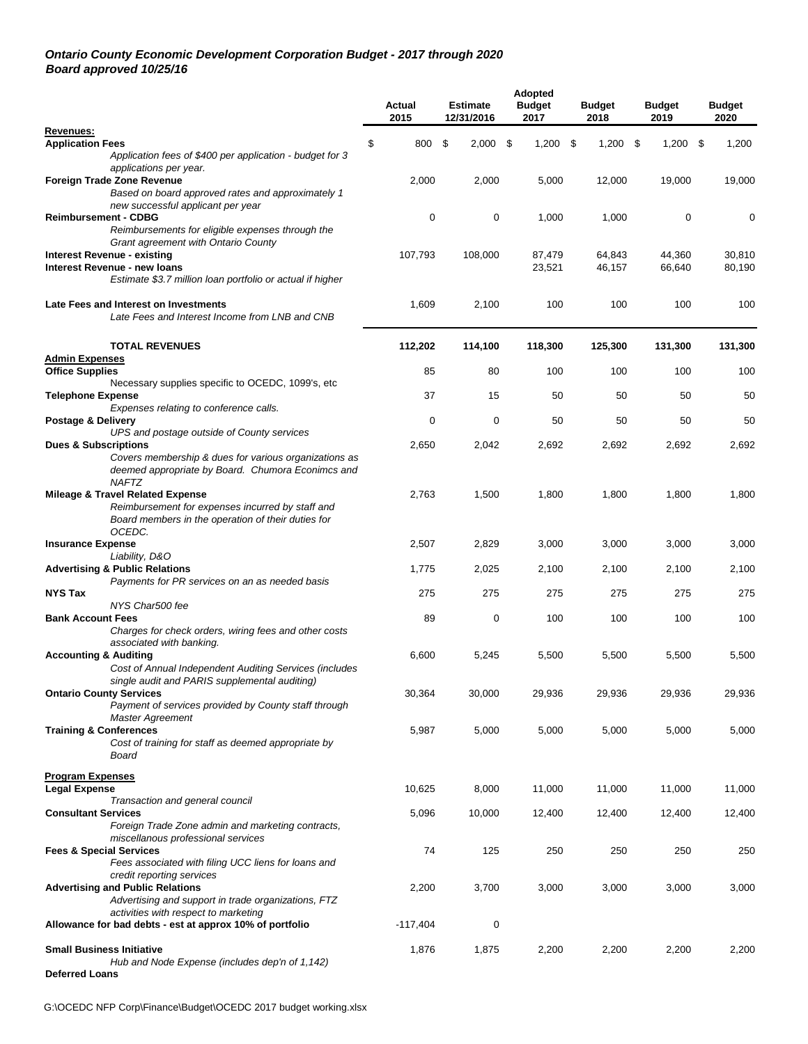#### *Ontario County Economic Development Corporation Budget - 2017 through 2020 Board approved 10/25/16*

|                                                                                           | Actual<br>2015 | <b>Estimate</b><br>12/31/2016 | <b>Adopted</b><br><b>Budget</b><br>2017 | <b>Budget</b><br>2018 | <b>Budget</b><br>2019 | <b>Budget</b><br>2020 |
|-------------------------------------------------------------------------------------------|----------------|-------------------------------|-----------------------------------------|-----------------------|-----------------------|-----------------------|
| Revenues:                                                                                 |                |                               |                                         |                       |                       |                       |
| <b>Application Fees</b>                                                                   | \$<br>800      | \$<br>$2,000$ \$              | 1,200                                   | -\$<br>$1,200$ \$     | $1,200$ \$            | 1,200                 |
| Application fees of \$400 per application - budget for 3<br>applications per year.        |                |                               |                                         |                       |                       |                       |
| Foreign Trade Zone Revenue                                                                | 2,000          | 2,000                         | 5,000                                   | 12,000                | 19,000                | 19,000                |
| Based on board approved rates and approximately 1                                         |                |                               |                                         |                       |                       |                       |
| new successful applicant per year                                                         |                |                               |                                         |                       |                       |                       |
| <b>Reimbursement - CDBG</b>                                                               | 0              | 0                             | 1,000                                   | 1,000                 | 0                     | 0                     |
| Reimbursements for eligible expenses through the<br>Grant agreement with Ontario County   |                |                               |                                         |                       |                       |                       |
| Interest Revenue - existing                                                               | 107,793        | 108,000                       | 87,479                                  | 64,843                | 44,360                | 30,810                |
| <b>Interest Revenue - new loans</b>                                                       |                |                               | 23,521                                  | 46,157                | 66,640                | 80,190                |
| Estimate \$3.7 million loan portfolio or actual if higher                                 |                |                               |                                         |                       |                       |                       |
| Late Fees and Interest on Investments                                                     | 1,609          | 2,100                         | 100                                     | 100                   | 100                   | 100                   |
| Late Fees and Interest Income from LNB and CNB                                            |                |                               |                                         |                       |                       |                       |
| <b>TOTAL REVENUES</b><br><b>Admin Expenses</b>                                            | 112,202        | 114,100                       | 118,300                                 | 125,300               | 131,300               | 131,300               |
| <b>Office Supplies</b>                                                                    | 85             | 80                            | 100                                     | 100                   | 100                   | 100                   |
| Necessary supplies specific to OCEDC, 1099's, etc                                         |                |                               |                                         |                       |                       |                       |
| <b>Telephone Expense</b>                                                                  | 37             | 15                            | 50                                      | 50                    | 50                    | 50                    |
| Expenses relating to conference calls.<br><b>Postage &amp; Delivery</b>                   | 0              | 0                             | 50                                      | 50                    | 50                    | 50                    |
| UPS and postage outside of County services                                                |                |                               |                                         |                       |                       |                       |
| <b>Dues &amp; Subscriptions</b>                                                           | 2,650          | 2,042                         | 2,692                                   | 2,692                 | 2,692                 | 2,692                 |
| Covers membership & dues for various organizations as                                     |                |                               |                                         |                       |                       |                       |
| deemed appropriate by Board. Chumora Econimcs and<br><b>NAFTZ</b>                         |                |                               |                                         |                       |                       |                       |
| <b>Mileage &amp; Travel Related Expense</b>                                               | 2,763          | 1,500                         | 1,800                                   | 1,800                 | 1,800                 | 1,800                 |
| Reimbursement for expenses incurred by staff and                                          |                |                               |                                         |                       |                       |                       |
| Board members in the operation of their duties for                                        |                |                               |                                         |                       |                       |                       |
| OCEDC.<br><b>Insurance Expense</b>                                                        | 2,507          | 2,829                         | 3,000                                   | 3,000                 | 3,000                 | 3,000                 |
| Liability, D&O                                                                            |                |                               |                                         |                       |                       |                       |
| <b>Advertising &amp; Public Relations</b>                                                 | 1,775          | 2,025                         | 2,100                                   | 2,100                 | 2,100                 | 2,100                 |
| Payments for PR services on an as needed basis                                            |                |                               |                                         |                       |                       |                       |
| <b>NYS Tax</b>                                                                            | 275            | 275                           | 275                                     | 275                   | 275                   | 275                   |
| NYS Char500 fee<br><b>Bank Account Fees</b>                                               | 89             | 0                             | 100                                     | 100                   | 100                   | 100                   |
| Charges for check orders, wiring fees and other costs                                     |                |                               |                                         |                       |                       |                       |
| associated with banking.                                                                  |                |                               |                                         |                       |                       |                       |
| <b>Accounting &amp; Auditing</b>                                                          | 6,600          | 5,245                         | 5,500                                   | 5,500                 | 5,500                 | 5,500                 |
| Cost of Annual Independent Auditing Services (includes                                    |                |                               |                                         |                       |                       |                       |
| single audit and PARIS supplemental auditing)<br><b>Ontario County Services</b>           | 30,364         | 30,000                        | 29,936                                  | 29,936                | 29,936                | 29,936                |
| Payment of services provided by County staff through                                      |                |                               |                                         |                       |                       |                       |
| Master Agreement                                                                          |                |                               |                                         |                       |                       |                       |
| <b>Training &amp; Conferences</b>                                                         | 5,987          | 5,000                         | 5,000                                   | 5,000                 | 5,000                 | 5,000                 |
| Cost of training for staff as deemed appropriate by<br>Board                              |                |                               |                                         |                       |                       |                       |
| <b>Program Expenses</b>                                                                   |                |                               |                                         |                       |                       |                       |
| <b>Legal Expense</b><br>Transaction and general council                                   | 10,625         | 8,000                         | 11,000                                  | 11,000                | 11,000                | 11,000                |
| <b>Consultant Services</b>                                                                | 5,096          | 10,000                        | 12,400                                  | 12,400                | 12,400                | 12,400                |
| Foreign Trade Zone admin and marketing contracts,                                         |                |                               |                                         |                       |                       |                       |
| miscellanous professional services                                                        |                |                               |                                         |                       |                       |                       |
| <b>Fees &amp; Special Services</b><br>Fees associated with filing UCC liens for loans and | 74             | 125                           | 250                                     | 250                   | 250                   | 250                   |
| credit reporting services                                                                 |                |                               |                                         |                       |                       |                       |
| <b>Advertising and Public Relations</b>                                                   | 2,200          | 3,700                         | 3,000                                   | 3,000                 | 3,000                 | 3,000                 |
| Advertising and support in trade organizations, FTZ                                       |                |                               |                                         |                       |                       |                       |
| activities with respect to marketing                                                      |                |                               |                                         |                       |                       |                       |
| Allowance for bad debts - est at approx 10% of portfolio                                  | -117,404       | $\pmb{0}$                     |                                         |                       |                       |                       |
| <b>Small Business Initiative</b><br>Hub and Node Expense (includes dep'n of 1,142)        | 1,876          | 1,875                         | 2,200                                   | 2,200                 | 2,200                 | 2,200                 |
| <b>Deferred Loans</b>                                                                     |                |                               |                                         |                       |                       |                       |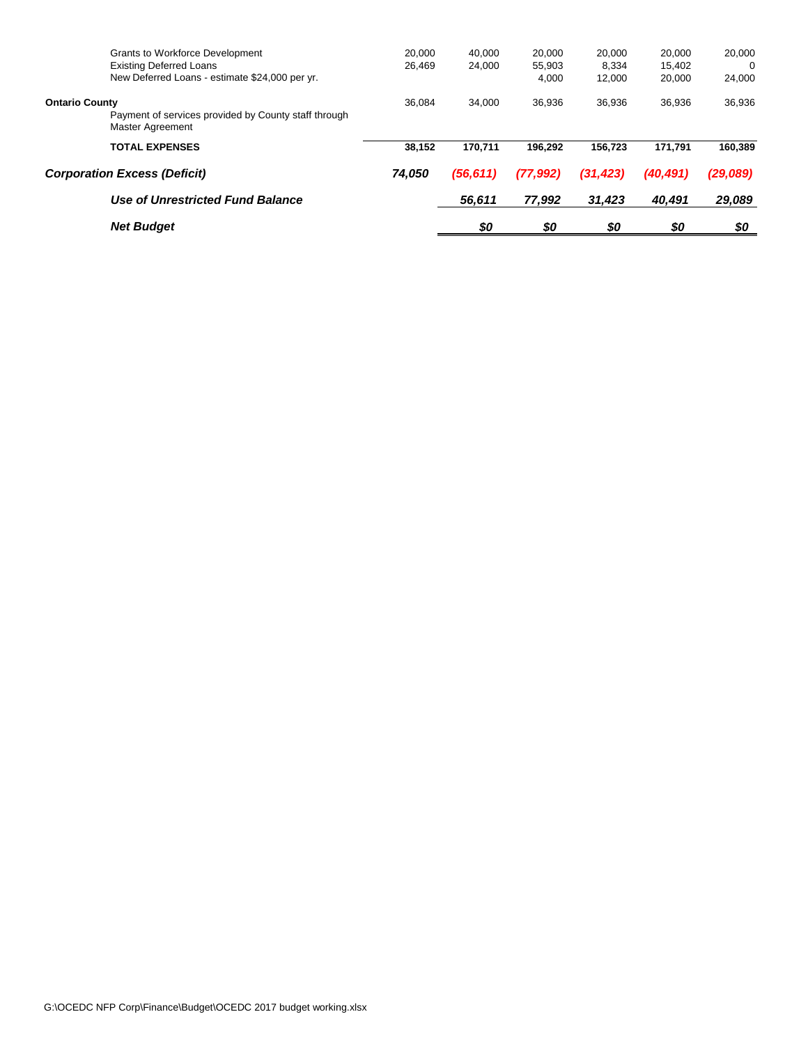| <b>Grants to Workforce Development</b><br><b>Existing Deferred Loans</b><br>New Deferred Loans - estimate \$24,000 per yr. | 20.000<br>26.469 | 40.000<br>24.000 | 20,000<br>55,903<br>4,000 | 20,000<br>8.334<br>12.000 | 20,000<br>15.402<br>20,000 | 20,000<br>$\Omega$<br>24,000 |
|----------------------------------------------------------------------------------------------------------------------------|------------------|------------------|---------------------------|---------------------------|----------------------------|------------------------------|
| <b>Ontario County</b><br>Payment of services provided by County staff through<br><b>Master Agreement</b>                   | 36.084           | 34.000           | 36.936                    | 36,936                    | 36.936                     | 36,936                       |
| <b>TOTAL EXPENSES</b>                                                                                                      | 38.152           | 170.711          | 196.292                   | 156.723                   | 171.791                    | 160.389                      |
| <b>Corporation Excess (Deficit)</b>                                                                                        | 74,050           | (56, 611)        | (77,992)                  | (31, 423)                 | (40, 491)                  | (29,089)                     |
| Use of Unrestricted Fund Balance                                                                                           |                  | 56,611           | 77,992                    | 31,423                    | 40,491                     | 29,089                       |
| <b>Net Budget</b>                                                                                                          |                  | \$0              | \$0                       | \$0                       | \$0                        | \$0                          |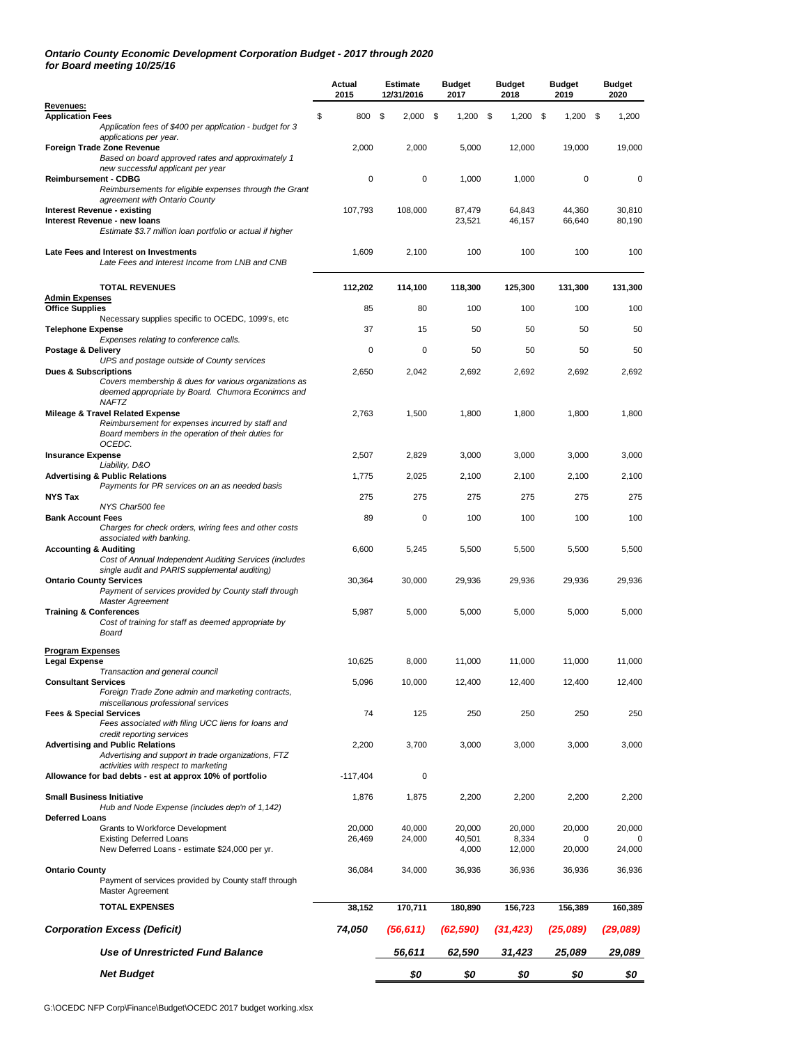#### *Ontario County Economic Development Corporation Budget - 2017 through 2020 for Board meeting 10/25/16*

|                                                                                                                                                            | Actual<br>2015 | <b>Estimate</b><br>12/31/2016 | <b>Budget</b><br>2017 | <b>Budget</b><br>2018 | <b>Budget</b><br>2019 | <b>Budget</b><br>2020 |
|------------------------------------------------------------------------------------------------------------------------------------------------------------|----------------|-------------------------------|-----------------------|-----------------------|-----------------------|-----------------------|
| Revenues:<br><b>Application Fees</b>                                                                                                                       | \$<br>800      | \$<br>2,000                   | \$<br>1,200           | $1,200$ \$<br>\$      | 1,200                 | - \$<br>1,200         |
| Application fees of \$400 per application - budget for 3                                                                                                   |                |                               |                       |                       |                       |                       |
| applications per year.<br>Foreign Trade Zone Revenue<br>Based on board approved rates and approximately 1                                                  | 2,000          | 2,000                         | 5,000                 | 12,000                | 19,000                | 19,000                |
| new successful applicant per year<br>Reimbursement - CDBG<br>Reimbursements for eligible expenses through the Grant                                        | 0              | 0                             | 1,000                 | 1,000                 | 0                     | 0                     |
| agreement with Ontario County<br><b>Interest Revenue - existing</b>                                                                                        | 107,793        | 108,000                       | 87,479                | 64,843                | 44,360                | 30,810                |
| Interest Revenue - new loans<br>Estimate \$3.7 million loan portfolio or actual if higher                                                                  |                |                               | 23,521                | 46,157                | 66,640                | 80,190                |
| Late Fees and Interest on Investments<br>Late Fees and Interest Income from LNB and CNB                                                                    | 1,609          | 2,100                         | 100                   | 100                   | 100                   | 100                   |
| <b>TOTAL REVENUES</b><br><b>Admin Expenses</b>                                                                                                             | 112,202        | 114,100                       | 118,300               | 125,300               | 131,300               | 131,300               |
| <b>Office Supplies</b>                                                                                                                                     | 85             | 80                            | 100                   | 100                   | 100                   | 100                   |
| Necessary supplies specific to OCEDC, 1099's, etc.<br><b>Telephone Expense</b>                                                                             | 37             | 15                            | 50                    | 50                    | 50                    | 50                    |
| Expenses relating to conference calls.                                                                                                                     |                |                               |                       |                       |                       |                       |
| Postage & Delivery<br>UPS and postage outside of County services                                                                                           | 0              | 0                             | 50                    | 50                    | 50                    | 50                    |
| <b>Dues &amp; Subscriptions</b><br>Covers membership & dues for various organizations as<br>deemed appropriate by Board. Chumora Econimcs and              | 2,650          | 2,042                         | 2,692                 | 2,692                 | 2,692                 | 2,692                 |
| <b>NAFTZ</b><br>Mileage & Travel Related Expense<br>Reimbursement for expenses incurred by staff and<br>Board members in the operation of their duties for | 2,763          | 1,500                         | 1,800                 | 1,800                 | 1,800                 | 1,800                 |
| OCEDC.<br><b>Insurance Expense</b>                                                                                                                         | 2,507          | 2,829                         | 3,000                 | 3,000                 | 3,000                 | 3,000                 |
| Liability, D&O<br><b>Advertising &amp; Public Relations</b>                                                                                                | 1,775          | 2,025                         | 2,100                 | 2,100                 | 2,100                 | 2,100                 |
| Payments for PR services on an as needed basis<br>NYS Tax                                                                                                  | 275            | 275                           | 275                   | 275                   | 275                   | 275                   |
| NYS Char500 fee<br><b>Bank Account Fees</b>                                                                                                                | 89             | 0                             | 100                   | 100                   | 100                   | 100                   |
| Charges for check orders, wiring fees and other costs                                                                                                      |                |                               |                       |                       |                       |                       |
| associated with banking.<br><b>Accounting &amp; Auditing</b><br>Cost of Annual Independent Auditing Services (includes                                     | 6,600          | 5,245                         | 5,500                 | 5,500                 | 5,500                 | 5,500                 |
| single audit and PARIS supplemental auditing)<br><b>Ontario County Services</b><br>Payment of services provided by County staff through                    | 30,364         | 30,000                        | 29,936                | 29,936                | 29,936                | 29,936                |
| Master Agreement<br><b>Training &amp; Conferences</b><br>Cost of training for staff as deemed appropriate by<br>Board                                      | 5,987          | 5,000                         | 5,000                 | 5,000                 | 5,000                 | 5,000                 |
|                                                                                                                                                            |                |                               |                       |                       |                       |                       |
| <b>Program Expenses</b><br><b>Legal Expense</b>                                                                                                            | 10,625         | 8,000                         | 11,000                | 11,000                | 11,000                | 11,000                |
| Transaction and general council<br><b>Consultant Services</b>                                                                                              | 5,096          | 10,000                        | 12,400                | 12,400                | 12,400                | 12,400                |
| Foreign Trade Zone admin and marketing contracts,                                                                                                          |                |                               |                       |                       |                       |                       |
| miscellanous professional services<br><b>Fees &amp; Special Services</b><br>Fees associated with filing UCC liens for loans and                            | 74             | 125                           | 250                   | 250                   | 250                   | 250                   |
| credit reporting services<br><b>Advertising and Public Relations</b><br>Advertising and support in trade organizations, FTZ                                | 2,200          | 3,700                         | 3,000                 | 3,000                 | 3,000                 | 3,000                 |
| activities with respect to marketing<br>Allowance for bad debts - est at approx 10% of portfolio                                                           | $-117,404$     | 0                             |                       |                       |                       |                       |
| <b>Small Business Initiative</b><br>Hub and Node Expense (includes dep'n of 1,142)                                                                         | 1,876          | 1,875                         | 2,200                 | 2,200                 | 2,200                 | 2,200                 |
| Deferred Loans<br>Grants to Workforce Development                                                                                                          | 20,000         | 40,000                        | 20.000                | 20,000                | 20,000                | 20,000                |
| <b>Existing Deferred Loans</b><br>New Deferred Loans - estimate \$24,000 per yr.                                                                           | 26,469         | 24,000                        | 40,501<br>4,000       | 8,334<br>12,000       | 0<br>20,000           | 24,000                |
| <b>Ontario County</b><br>Payment of services provided by County staff through<br>Master Agreement                                                          | 36,084         | 34,000                        | 36,936                | 36,936                | 36,936                | 36,936                |
| <b>TOTAL EXPENSES</b>                                                                                                                                      | 38,152         | 170,711                       | 180,890               | 156,723               | 156,389               | 160,389               |
| <b>Corporation Excess (Deficit)</b>                                                                                                                        | 74,050         | (56, 611)                     | (62, 590)             | (31, 423)             | (25,089)              | (29,089)              |
| <b>Use of Unrestricted Fund Balance</b>                                                                                                                    |                | 56,611                        | 62,590                | 31,423                | 25,089                | 29,089                |
| <b>Net Budget</b>                                                                                                                                          |                | \$0                           | \$0                   | \$0                   | \$0                   | \$0                   |
|                                                                                                                                                            |                |                               |                       |                       |                       |                       |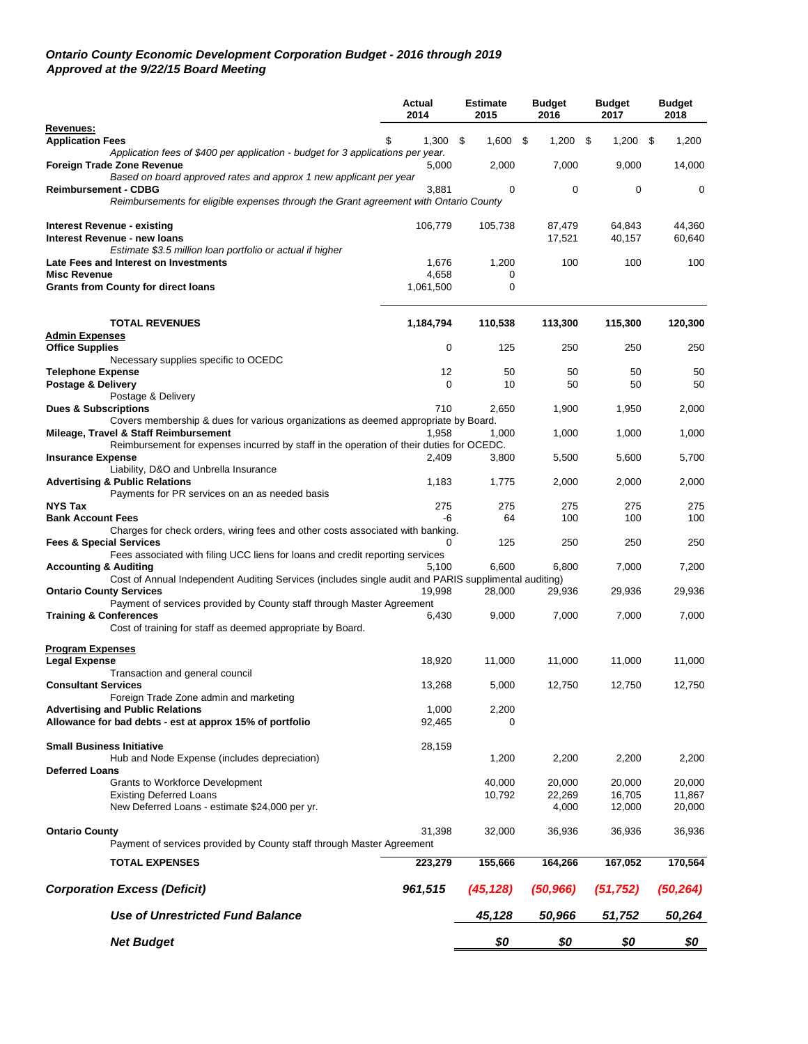#### *Ontario County Economic Development Corporation Budget - 2016 through 2019 Approved at the 9/22/15 Board Meeting*

|                                                              |                                                                                                      | <b>Actual</b><br>2014 | <b>Estimate</b><br>2015 | <b>Budget</b><br>2016 | <b>Budget</b><br>2017 | <b>Budget</b><br>2018 |
|--------------------------------------------------------------|------------------------------------------------------------------------------------------------------|-----------------------|-------------------------|-----------------------|-----------------------|-----------------------|
| Revenues:                                                    |                                                                                                      |                       |                         |                       |                       |                       |
| <b>Application Fees</b>                                      | Application fees of \$400 per application - budget for 3 applications per year.                      | 1,300                 | 1,600<br>- \$           | \$<br>1,200           | \$<br>$1,200$ \$      | 1,200                 |
| Foreign Trade Zone Revenue                                   |                                                                                                      | 5,000                 | 2,000                   | 7,000                 | 9,000                 | 14,000                |
| <b>Reimbursement - CDBG</b>                                  | Based on board approved rates and approx 1 new applicant per year                                    | 3,881                 | 0                       | 0                     | 0                     | 0                     |
|                                                              | Reimbursements for eligible expenses through the Grant agreement with Ontario County                 |                       |                         |                       |                       |                       |
| Interest Revenue - existing                                  |                                                                                                      | 106,779               | 105,738                 | 87,479                | 64,843                | 44,360                |
| Interest Revenue - new loans                                 |                                                                                                      |                       |                         | 17,521                | 40,157                | 60,640                |
|                                                              | Estimate \$3.5 million loan portfolio or actual if higher                                            |                       |                         |                       |                       |                       |
| Late Fees and Interest on Investments<br><b>Misc Revenue</b> |                                                                                                      | 1,676<br>4,658        | 1,200<br>0              | 100                   | 100                   | 100                   |
| <b>Grants from County for direct loans</b>                   |                                                                                                      | 1,061,500             | 0                       |                       |                       |                       |
| <b>TOTAL REVENUES</b>                                        |                                                                                                      | 1,184,794             | 110,538                 | 113,300               | 115,300               | 120,300               |
| <b>Admin Expenses</b>                                        |                                                                                                      |                       |                         |                       |                       |                       |
| <b>Office Supplies</b>                                       |                                                                                                      | $\mathbf 0$           | 125                     | 250                   | 250                   | 250                   |
|                                                              | Necessary supplies specific to OCEDC                                                                 |                       |                         |                       |                       |                       |
| <b>Telephone Expense</b>                                     |                                                                                                      | 12                    | 50                      | 50                    | 50                    | 50                    |
| Postage & Delivery                                           |                                                                                                      | $\mathbf 0$           | 10                      | 50                    | 50                    | 50                    |
| Postage & Delivery                                           |                                                                                                      | 710                   |                         |                       |                       |                       |
| <b>Dues &amp; Subscriptions</b>                              | Covers membership & dues for various organizations as deemed appropriate by Board.                   |                       | 2,650                   | 1,900                 | 1,950                 | 2,000                 |
| Mileage, Travel & Staff Reimbursement                        |                                                                                                      | 1,958                 | 1,000                   | 1,000                 | 1,000                 | 1,000                 |
|                                                              | Reimbursement for expenses incurred by staff in the operation of their duties for OCEDC.             |                       |                         |                       |                       |                       |
| <b>Insurance Expense</b>                                     |                                                                                                      | 2,409                 | 3,800                   | 5,500                 | 5,600                 | 5,700                 |
|                                                              | Liability, D&O and Unbrella Insurance                                                                |                       |                         |                       |                       |                       |
| <b>Advertising &amp; Public Relations</b>                    | Payments for PR services on an as needed basis                                                       | 1,183                 | 1,775                   | 2,000                 | 2,000                 | 2,000                 |
| <b>NYS Tax</b>                                               |                                                                                                      | 275                   | 275                     | 275                   | 275                   | 275                   |
| <b>Bank Account Fees</b>                                     |                                                                                                      | -6                    | 64                      | 100                   | 100                   | 100                   |
|                                                              | Charges for check orders, wiring fees and other costs associated with banking.                       |                       |                         |                       |                       |                       |
| <b>Fees &amp; Special Services</b>                           |                                                                                                      | 0                     | 125                     | 250                   | 250                   | 250                   |
| <b>Accounting &amp; Auditing</b>                             | Fees associated with filing UCC liens for loans and credit reporting services                        | 5,100                 | 6,600                   | 6,800                 | 7,000                 | 7,200                 |
|                                                              | Cost of Annual Independent Auditing Services (includes single audit and PARIS supplimental auditing) |                       |                         |                       |                       |                       |
| <b>Ontario County Services</b>                               |                                                                                                      | 19,998                | 28,000                  | 29,936                | 29,936                | 29,936                |
|                                                              | Payment of services provided by County staff through Master Agreement                                |                       |                         |                       |                       |                       |
| <b>Training &amp; Conferences</b>                            |                                                                                                      | 6,430                 | 9,000                   | 7,000                 | 7,000                 | 7,000                 |
|                                                              | Cost of training for staff as deemed appropriate by Board.                                           |                       |                         |                       |                       |                       |
|                                                              |                                                                                                      |                       |                         |                       |                       |                       |
| <b>Program Expenses</b><br><b>Legal Expense</b>              |                                                                                                      | 18,920                | 11,000                  | 11,000                | 11,000                | 11,000                |
|                                                              | Transaction and general council                                                                      |                       |                         |                       |                       |                       |
| <b>Consultant Services</b>                                   |                                                                                                      | 13,268                | 5,000                   | 12,750                | 12,750                | 12,750                |
|                                                              | Foreign Trade Zone admin and marketing                                                               |                       |                         |                       |                       |                       |
| <b>Advertising and Public Relations</b>                      |                                                                                                      | 1,000                 | 2,200                   |                       |                       |                       |
|                                                              | Allowance for bad debts - est at approx 15% of portfolio                                             | 92,465                | 0                       |                       |                       |                       |
|                                                              |                                                                                                      |                       |                         |                       |                       |                       |
| <b>Small Business Initiative</b>                             | Hub and Node Expense (includes depreciation)                                                         | 28,159                | 1,200                   | 2,200                 | 2,200                 | 2,200                 |
| <b>Deferred Loans</b>                                        |                                                                                                      |                       |                         |                       |                       |                       |
|                                                              | <b>Grants to Workforce Development</b>                                                               |                       | 40,000                  | 20,000                | 20,000                | 20,000                |
| <b>Existing Deferred Loans</b>                               |                                                                                                      |                       | 10,792                  | 22,269                | 16,705                | 11,867                |
|                                                              | New Deferred Loans - estimate \$24,000 per yr.                                                       |                       |                         | 4,000                 | 12,000                | 20,000                |
|                                                              |                                                                                                      |                       |                         |                       |                       |                       |
| <b>Ontario County</b>                                        |                                                                                                      | 31,398                | 32,000                  | 36,936                | 36,936                | 36,936                |
|                                                              | Payment of services provided by County staff through Master Agreement                                |                       |                         |                       |                       |                       |
| <b>TOTAL EXPENSES</b>                                        |                                                                                                      | 223,279               | 155,666                 | 164,266               | 167,052               | 170,564               |
| <b>Corporation Excess (Deficit)</b>                          |                                                                                                      | 961,515               | (45, 128)               | (50, 966)             | (51, 752)             | (50, 264)             |
|                                                              | <b>Use of Unrestricted Fund Balance</b>                                                              |                       | 45,128                  | 50,966                | 51,752                | 50,264                |
| <b>Net Budget</b>                                            |                                                                                                      |                       | \$0                     | \$0                   | \$0                   | \$0                   |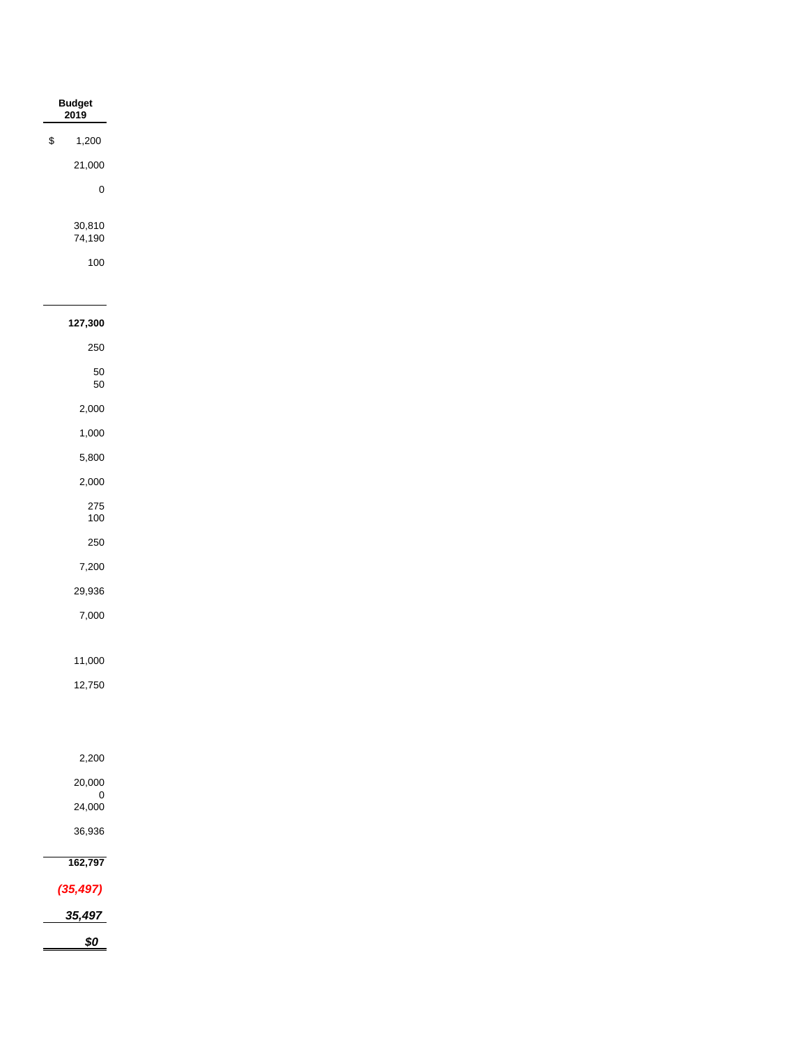|              | Budget<br>2019    |
|--------------|-------------------|
| $\mathbb{S}$ | 1,200             |
|              | 21,000            |
|              | $\pmb{0}$         |
|              |                   |
|              | 30,810<br>74,190  |
|              | 100               |
|              |                   |
|              | 127,300           |
|              | 250               |
|              | $50\,$            |
|              | 50                |
|              | 2,000             |
|              | 1,000             |
|              | 5,800             |
|              | 2,000             |
|              | 275<br>$100\,$    |
|              | 250               |
|              | 7,200             |
|              | 29,936            |
|              | 7,000             |
|              |                   |
|              | 11,000            |
|              | 12,750            |
|              |                   |
|              | 2,200             |
|              | 20,000            |
|              | $0$<br>24,000     |
|              | 36,936            |
|              | 162,797           |
|              | (35, 497)         |
|              | 35,497            |
|              | $\underline{\$0}$ |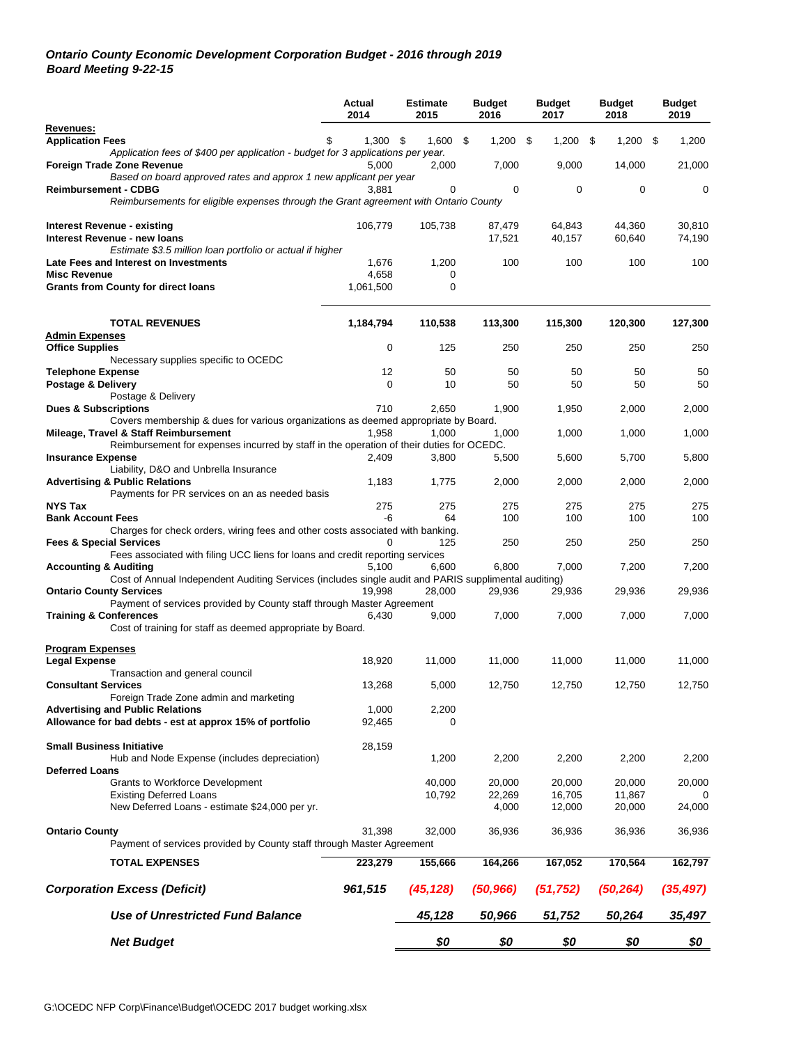### *Ontario County Economic Development Corporation Budget - 2016 through 2019 Board Meeting 9-22-15*

|                                                                                                                                          | Actual<br>2014     | <b>Estimate</b><br>2015 | <b>Budget</b><br>2016 | <b>Budget</b><br>2017 | <b>Budget</b><br>2018 | <b>Budget</b><br>2019 |
|------------------------------------------------------------------------------------------------------------------------------------------|--------------------|-------------------------|-----------------------|-----------------------|-----------------------|-----------------------|
| Revenues:<br><b>Application Fees</b>                                                                                                     | 1,300              | 1,600<br>- \$           | - \$<br>$1,200$ \$    | 1,200                 | \$<br>1,200           | -\$<br>1,200          |
| Application fees of \$400 per application - budget for 3 applications per year.<br><b>Foreign Trade Zone Revenue</b>                     |                    |                         |                       |                       |                       |                       |
| Based on board approved rates and approx 1 new applicant per year                                                                        | 5,000              | 2,000                   | 7,000                 | 9,000                 | 14,000                | 21,000                |
| <b>Reimbursement - CDBG</b><br>Reimbursements for eligible expenses through the Grant agreement with Ontario County                      | 3,881              | 0                       | 0                     | 0                     | 0                     | 0                     |
| Interest Revenue - existing                                                                                                              | 106,779            | 105,738                 | 87,479                | 64,843                | 44,360                | 30,810                |
| Interest Revenue - new loans<br>Estimate \$3.5 million loan portfolio or actual if higher                                                |                    |                         | 17,521                | 40,157                | 60,640                | 74,190                |
| Late Fees and Interest on Investments                                                                                                    | 1,676              | 1,200                   | 100                   | 100                   | 100                   | 100                   |
| <b>Misc Revenue</b><br><b>Grants from County for direct loans</b>                                                                        | 4,658<br>1,061,500 | 0<br>0                  |                       |                       |                       |                       |
|                                                                                                                                          |                    |                         |                       |                       |                       |                       |
| <b>TOTAL REVENUES</b>                                                                                                                    | 1,184,794          | 110,538                 | 113,300               | 115,300               | 120,300               | 127,300               |
| <b>Admin Expenses</b><br><b>Office Supplies</b>                                                                                          | $\mathbf 0$        | 125                     | 250                   | 250                   | 250                   | 250                   |
| Necessary supplies specific to OCEDC                                                                                                     |                    |                         |                       |                       |                       |                       |
| <b>Telephone Expense</b><br>Postage & Delivery                                                                                           | 12<br>$\mathbf 0$  | 50<br>10                | 50<br>50              | 50<br>50              | 50<br>50              | 50<br>50              |
| Postage & Delivery                                                                                                                       |                    |                         |                       |                       |                       |                       |
| <b>Dues &amp; Subscriptions</b>                                                                                                          | 710                | 2.650                   | 1,900                 | 1,950                 | 2,000                 | 2,000                 |
| Covers membership & dues for various organizations as deemed appropriate by Board.<br>Mileage, Travel & Staff Reimbursement              | 1.958              | 1,000                   | 1,000                 | 1,000                 | 1,000                 | 1,000                 |
| Reimbursement for expenses incurred by staff in the operation of their duties for OCEDC.                                                 |                    |                         |                       |                       |                       |                       |
| <b>Insurance Expense</b><br>Liability, D&O and Unbrella Insurance                                                                        | 2,409              | 3,800                   | 5,500                 | 5,600                 | 5,700                 | 5,800                 |
| <b>Advertising &amp; Public Relations</b><br>Payments for PR services on an as needed basis                                              | 1,183              | 1,775                   | 2,000                 | 2,000                 | 2,000                 | 2,000                 |
| <b>NYS Tax</b>                                                                                                                           | 275                | 275                     | 275                   | 275                   | 275                   | 275                   |
| <b>Bank Account Fees</b><br>Charges for check orders, wiring fees and other costs associated with banking.                               | -6                 | 64                      | 100                   | 100                   | 100                   | 100                   |
| <b>Fees &amp; Special Services</b>                                                                                                       |                    | 125                     | 250                   | 250                   | 250                   | 250                   |
| Fees associated with filing UCC liens for loans and credit reporting services                                                            |                    |                         |                       |                       |                       |                       |
| <b>Accounting &amp; Auditing</b><br>Cost of Annual Independent Auditing Services (includes single audit and PARIS supplimental auditing) | 5,100              | 6,600                   | 6,800                 | 7,000                 | 7,200                 | 7,200                 |
| <b>Ontario County Services</b>                                                                                                           | 19.998             | 28,000                  | 29,936                | 29,936                | 29,936                | 29,936                |
| Payment of services provided by County staff through Master Agreement<br><b>Training &amp; Conferences</b>                               | 6,430              | 9,000                   | 7,000                 | 7,000                 | 7,000                 | 7,000                 |
| Cost of training for staff as deemed appropriate by Board.                                                                               |                    |                         |                       |                       |                       |                       |
| <b>Program Expenses</b>                                                                                                                  |                    |                         |                       |                       |                       |                       |
| <b>Legal Expense</b>                                                                                                                     | 18,920             | 11.000                  | 11,000                | 11,000                | 11,000                | 11,000                |
| Transaction and general council                                                                                                          |                    |                         |                       |                       |                       |                       |
| <b>Consultant Services</b><br>Foreign Trade Zone admin and marketing                                                                     | 13,268             | 5,000                   | 12,750                | 12,750                | 12,750                | 12,750                |
| <b>Advertising and Public Relations</b>                                                                                                  | 1,000              | 2,200                   |                       |                       |                       |                       |
| Allowance for bad debts - est at approx 15% of portfolio                                                                                 | 92,465             | 0                       |                       |                       |                       |                       |
| <b>Small Business Initiative</b><br>Hub and Node Expense (includes depreciation)                                                         | 28,159             | 1,200                   | 2,200                 | 2,200                 | 2,200                 | 2,200                 |
| <b>Deferred Loans</b>                                                                                                                    |                    |                         |                       |                       |                       |                       |
| <b>Grants to Workforce Development</b><br><b>Existing Deferred Loans</b>                                                                 |                    | 40,000<br>10,792        | 20,000<br>22,269      | 20,000<br>16,705      | 20,000<br>11,867      | 20,000                |
| New Deferred Loans - estimate \$24,000 per yr.                                                                                           |                    |                         | 4,000                 | 12,000                | 20,000                | 24,000                |
| <b>Ontario County</b>                                                                                                                    | 31,398             | 32,000                  | 36,936                | 36,936                | 36,936                | 36,936                |
| Payment of services provided by County staff through Master Agreement                                                                    |                    |                         |                       |                       |                       |                       |
| <b>TOTAL EXPENSES</b>                                                                                                                    | 223,279            | 155,666                 | 164,266               | 167,052               | 170,564               | 162,797               |
| <b>Corporation Excess (Deficit)</b>                                                                                                      | 961,515            | (45, 128)               | (50, 966)             | (51, 752)             | (50,264)              | (35, 497)             |
| <b>Use of Unrestricted Fund Balance</b>                                                                                                  |                    | 45,128                  | 50,966                | 51,752                | 50,264                | 35,497                |
| <b>Net Budget</b>                                                                                                                        |                    | \$0                     | \$0                   | \$0                   | \$0                   | \$0                   |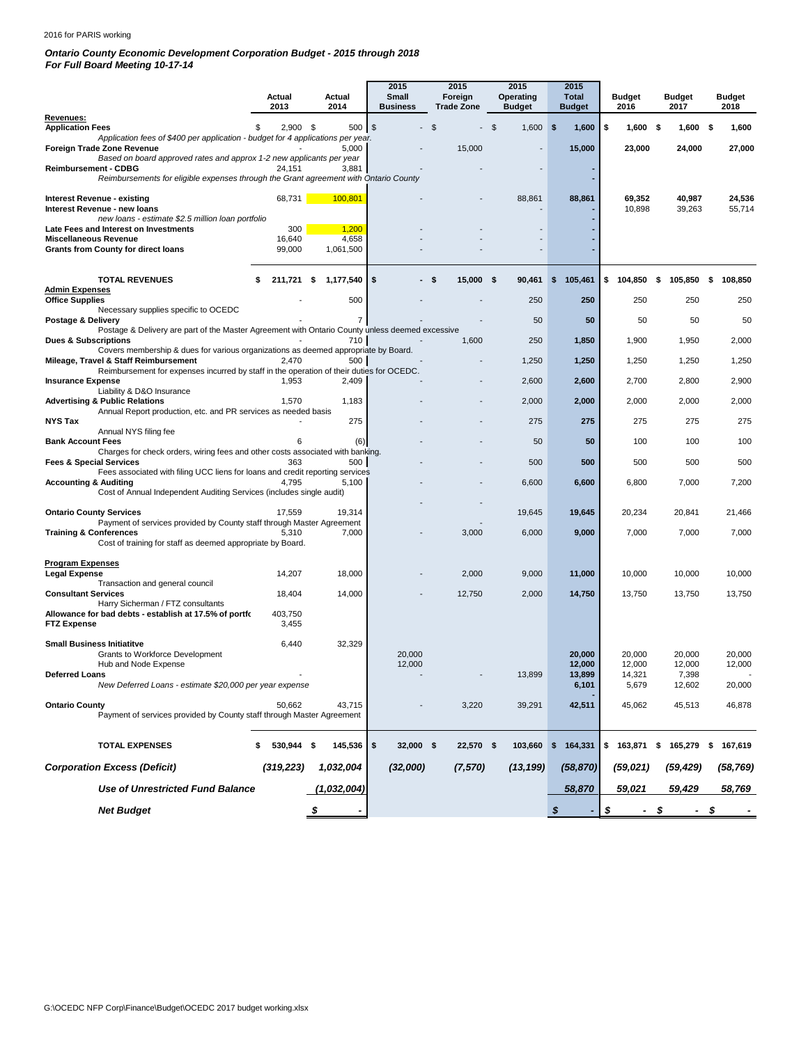#### 2016 for PARIS working

## *Ontario County Economic Development Corporation Budget - 2015 through 2018*

*For Full Board Meeting 10-17-14*

|                                                                                                                                   |    | Actual<br>2013 | Actual<br>2014  | 2015<br><b>Small</b><br><b>Business</b> |      | 2015<br>Foreign<br><b>Trade Zone</b> |                | 2015<br><b>Operating</b><br><b>Budget</b> |     | 2015<br><b>Total</b><br><b>Budget</b> | <b>Budget</b><br>2016 | <b>Budget</b><br>2017 |     | <b>Budget</b><br>2018 |
|-----------------------------------------------------------------------------------------------------------------------------------|----|----------------|-----------------|-----------------------------------------|------|--------------------------------------|----------------|-------------------------------------------|-----|---------------------------------------|-----------------------|-----------------------|-----|-----------------------|
| Revenues:<br><b>Application Fees</b>                                                                                              | £. | $2,900$ \$     | 500 \$          |                                         | \$   |                                      | $\mathfrak{L}$ | 1,600                                     | -\$ | 1,600                                 | \$<br>$1,600$ \$      | $1,600$ \$            |     | 1,600                 |
| Application fees of \$400 per application - budget for 4 applications per year.<br>Foreign Trade Zone Revenue                     |    |                | 5,000           |                                         |      | 15,000                               |                |                                           |     | 15,000                                | 23,000                | 24,000                |     | 27,000                |
| Based on board approved rates and approx 1-2 new applicants per year<br><b>Reimbursement - CDBG</b>                               |    | 24,151         | 3,881           |                                         |      |                                      |                |                                           |     |                                       |                       |                       |     |                       |
| Reimbursements for eligible expenses through the Grant agreement with Ontario County                                              |    |                |                 |                                         |      |                                      |                |                                           |     |                                       |                       |                       |     |                       |
| Interest Revenue - existing                                                                                                       |    | 68,731         | 100,801         |                                         |      |                                      |                | 88,861                                    |     | 88,861                                | 69,352<br>10,898      | 40,987<br>39,263      |     | 24,536<br>55,714      |
| Interest Revenue - new loans<br>new loans - estimate \$2.5 million loan portfolio                                                 |    |                |                 |                                         |      |                                      |                |                                           |     |                                       |                       |                       |     |                       |
| Late Fees and Interest on Investments<br><b>Miscellaneous Revenue</b>                                                             |    | 300<br>16,640  | 1,200<br>4,658  |                                         |      |                                      |                |                                           |     |                                       |                       |                       |     |                       |
| <b>Grants from County for direct loans</b>                                                                                        |    | 99,000         | 1,061,500       |                                         |      |                                      |                |                                           |     |                                       |                       |                       |     |                       |
| <b>TOTAL REVENUES</b>                                                                                                             |    | 211,721        | \$<br>1,177,540 | \$                                      | - \$ | $15,000$ \$                          |                | 90,461                                    | \$  | 105,461                               | \$104,850             | \$<br>105,850         | \$  | 108,850               |
| <b>Admin Expenses</b><br><b>Office Supplies</b>                                                                                   |    |                | 500             |                                         |      |                                      |                | 250                                       |     | 250                                   | 250                   | 250                   |     | 250                   |
| Necessary supplies specific to OCEDC<br>Postage & Delivery                                                                        |    |                | 7               |                                         |      |                                      |                | 50                                        |     | 50                                    | 50                    | 50                    |     | 50                    |
| Postage & Delivery are part of the Master Agreement with Ontario County unless deemed excessive                                   |    |                |                 |                                         |      |                                      |                |                                           |     |                                       |                       |                       |     |                       |
| <b>Dues &amp; Subscriptions</b><br>Covers membership & dues for various organizations as deemed appropriate by Board.             |    |                | 710             |                                         |      | 1,600                                |                | 250                                       |     | 1,850                                 | 1,900                 | 1,950                 |     | 2,000                 |
| Mileage, Travel & Staff Reimbursement<br>Reimbursement for expenses incurred by staff in the operation of their duties for OCEDC. |    | 2,470          | 500             |                                         |      |                                      |                | 1,250                                     |     | 1,250                                 | 1,250                 | 1,250                 |     | 1,250                 |
| <b>Insurance Expense</b><br>Liability & D&O Insurance                                                                             |    | 1,953          | 2,409           |                                         |      |                                      |                | 2,600                                     |     | 2,600                                 | 2,700                 | 2,800                 |     | 2,900                 |
| <b>Advertising &amp; Public Relations</b><br>Annual Report production, etc. and PR services as needed basis                       |    | 1,570          | 1,183           |                                         |      |                                      |                | 2,000                                     |     | 2,000                                 | 2,000                 | 2,000                 |     | 2,000                 |
| <b>NYS Tax</b>                                                                                                                    |    |                | 275             |                                         |      |                                      |                | 275                                       |     | 275                                   | 275                   | 275                   |     | 275                   |
| Annual NYS filing fee<br><b>Bank Account Fees</b>                                                                                 |    | 6              | (6)             |                                         |      |                                      |                | 50                                        |     | 50                                    | 100                   | 100                   |     | 100                   |
| Charges for check orders, wiring fees and other costs associated with banking.<br><b>Fees &amp; Special Services</b>              |    | 363            | 500             |                                         |      |                                      |                | 500                                       |     | 500                                   | 500                   | 500                   |     | 500                   |
| Fees associated with filing UCC liens for loans and credit reporting services<br><b>Accounting &amp; Auditing</b>                 |    | 4,795          | 5,100           |                                         |      |                                      |                | 6,600                                     |     | 6,600                                 | 6,800                 | 7,000                 |     | 7,200                 |
| Cost of Annual Independent Auditing Services (includes single audit)                                                              |    |                |                 |                                         |      |                                      |                |                                           |     |                                       |                       |                       |     |                       |
| <b>Ontario County Services</b><br>Payment of services provided by County staff through Master Agreement                           |    | 17,559         | 19,314          |                                         |      |                                      |                | 19,645                                    |     | 19,645                                | 20,234                | 20,841                |     | 21,466                |
| <b>Training &amp; Conferences</b>                                                                                                 |    | 5,310          | 7,000           |                                         |      | 3,000                                |                | 6,000                                     |     | 9,000                                 | 7,000                 | 7,000                 |     | 7,000                 |
| Cost of training for staff as deemed appropriate by Board.                                                                        |    |                |                 |                                         |      |                                      |                |                                           |     |                                       |                       |                       |     |                       |
| <b>Program Expenses</b><br><b>Legal Expense</b>                                                                                   |    | 14,207         | 18,000          |                                         |      | 2,000                                |                | 9,000                                     |     | 11,000                                | 10,000                | 10,000                |     | 10,000                |
| Transaction and general council<br><b>Consultant Services</b>                                                                     |    | 18,404         | 14,000          |                                         |      | 12,750                               |                | 2,000                                     |     | 14,750                                | 13,750                | 13,750                |     | 13,750                |
| Harry Sicherman / FTZ consultants<br>Allowance for bad debts - establish at 17.5% of portfo                                       |    | 403,750        |                 |                                         |      |                                      |                |                                           |     |                                       |                       |                       |     |                       |
| <b>FTZ Expense</b>                                                                                                                |    | 3,455          |                 |                                         |      |                                      |                |                                           |     |                                       |                       |                       |     |                       |
| <b>Small Business Initiatitve</b>                                                                                                 |    | 6,440          | 32,329          |                                         |      |                                      |                |                                           |     |                                       |                       |                       |     |                       |
| Grants to Workforce Development<br>Hub and Node Expense                                                                           |    |                |                 | 20,000<br>12,000                        |      |                                      |                |                                           |     | 20,000<br>12,000                      | 20,000<br>12,000      | 20,000<br>12,000      |     | 20,000<br>12,000      |
| <b>Deferred Loans</b><br>New Deferred Loans - estimate \$20,000 per year expense                                                  |    |                |                 |                                         |      |                                      |                | 13,899                                    |     | 13,899<br>6,101                       | 14,321<br>5,679       | 7,398<br>12,602       |     | 20,000                |
| <b>Ontario County</b>                                                                                                             |    | 50,662         | 43,715          |                                         |      | 3,220                                |                | 39,291                                    |     | 42,511                                | 45,062                | 45,513                |     | 46,878                |
| Payment of services provided by County staff through Master Agreement                                                             |    |                |                 |                                         |      |                                      |                |                                           |     |                                       |                       |                       |     |                       |
| <b>TOTAL EXPENSES</b>                                                                                                             |    | 530,944 \$     | 145,536         | \$<br>32,000 \$                         |      | 22,570 \$                            |                |                                           |     | 103,660 \$ 164,331                    | \$163,871             | $$165,279$ \$         |     | 167,619               |
| <b>Corporation Excess (Deficit)</b>                                                                                               |    | (319, 223)     | 1,032,004       | (32,000)                                |      | (7,570)                              |                | (13, 199)                                 |     | (58, 870)                             | (59, 021)             |                       |     | (58, 769)             |
|                                                                                                                                   |    |                |                 |                                         |      |                                      |                |                                           |     |                                       |                       | (59, 429)             |     |                       |
| Use of Unrestricted Fund Balance                                                                                                  |    |                | (1,032,004)     |                                         |      |                                      |                |                                           |     | 58,870                                | 59,021                | 59,429                |     | 58,769                |
| <b>Net Budget</b>                                                                                                                 |    |                | \$              |                                         |      |                                      |                |                                           | \$  |                                       | \$<br>$\sim$          | \$<br>$\sim$          | -\$ |                       |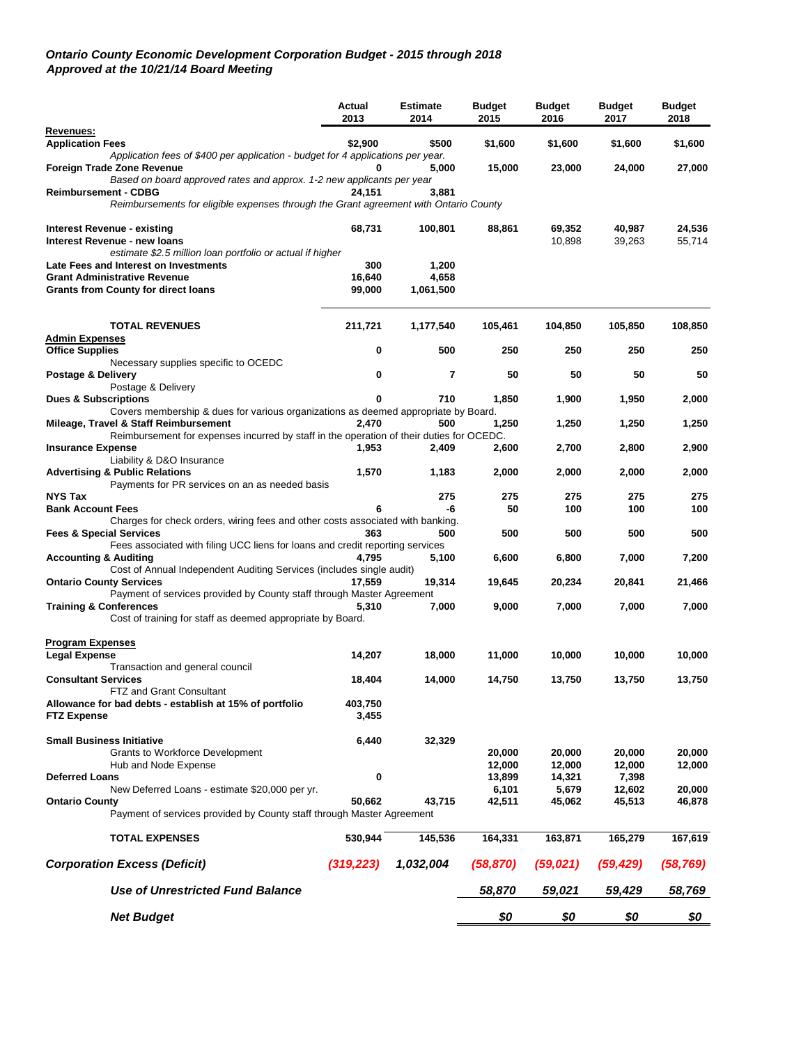### *Ontario County Economic Development Corporation Budget - 2015 through 2018 Approved at the 10/21/14 Board Meeting*

|                                                                                                | Actual<br>2013 | <b>Estimate</b><br>2014 | <b>Budget</b><br>2015 | <b>Budget</b><br>2016 | <b>Budget</b><br>2017 | <b>Budget</b><br>2018 |
|------------------------------------------------------------------------------------------------|----------------|-------------------------|-----------------------|-----------------------|-----------------------|-----------------------|
| Revenues:                                                                                      |                |                         |                       |                       |                       |                       |
| <b>Application Fees</b>                                                                        | \$2,900        | \$500                   | \$1,600               | \$1,600               | \$1,600               | \$1,600               |
| Application fees of \$400 per application - budget for 4 applications per year.                |                |                         |                       |                       |                       |                       |
| Foreign Trade Zone Revenue                                                                     |                | 5,000                   | 15,000                | 23,000                | 24,000                | 27,000                |
| Based on board approved rates and approx. 1-2 new applicants per year                          |                |                         |                       |                       |                       |                       |
| <b>Reimbursement - CDBG</b>                                                                    | 24,151         | 3,881                   |                       |                       |                       |                       |
| Reimbursements for eligible expenses through the Grant agreement with Ontario County           |                |                         |                       |                       |                       |                       |
| Interest Revenue - existing                                                                    | 68,731         | 100,801                 | 88,861                | 69,352                | 40,987                | 24,536                |
| Interest Revenue - new loans                                                                   |                |                         |                       | 10,898                | 39,263                | 55,714                |
| estimate \$2.5 million loan portfolio or actual if higher                                      |                |                         |                       |                       |                       |                       |
| Late Fees and Interest on Investments                                                          | 300            | 1,200                   |                       |                       |                       |                       |
| <b>Grant Administrative Revenue</b>                                                            | 16,640         | 4,658                   |                       |                       |                       |                       |
| <b>Grants from County for direct loans</b>                                                     | 99,000         | 1,061,500               |                       |                       |                       |                       |
|                                                                                                |                |                         |                       |                       |                       |                       |
| <b>TOTAL REVENUES</b>                                                                          | 211,721        | 1,177,540               | 105,461               | 104,850               | 105,850               | 108,850               |
| <b>Admin Expenses</b>                                                                          |                |                         |                       |                       |                       |                       |
| <b>Office Supplies</b>                                                                         | 0              | 500                     | 250                   | 250                   | 250                   | 250                   |
| Necessary supplies specific to OCEDC                                                           | 0              | 7                       | 50                    | 50                    | 50                    | 50                    |
| Postage & Delivery<br>Postage & Delivery                                                       |                |                         |                       |                       |                       |                       |
| <b>Dues &amp; Subscriptions</b>                                                                | 0              | 710                     | 1,850                 | 1,900                 | 1,950                 | 2,000                 |
| Covers membership & dues for various organizations as deemed appropriate by Board.             |                |                         |                       |                       |                       |                       |
| Mileage, Travel & Staff Reimbursement                                                          | 2,470          | 500                     | 1,250                 | 1,250                 | 1,250                 | 1,250                 |
| Reimbursement for expenses incurred by staff in the operation of their duties for OCEDC.       |                |                         |                       |                       |                       |                       |
| <b>Insurance Expense</b>                                                                       | 1,953          | 2,409                   | 2,600                 | 2,700                 | 2,800                 | 2,900                 |
| Liability & D&O Insurance                                                                      |                |                         |                       |                       |                       |                       |
| <b>Advertising &amp; Public Relations</b>                                                      | 1,570          | 1,183                   | 2,000                 | 2,000                 | 2,000                 | 2,000                 |
| Payments for PR services on an as needed basis                                                 |                |                         |                       |                       |                       |                       |
| <b>NYS Tax</b>                                                                                 |                | 275                     | 275                   | 275                   | 275                   | 275                   |
| <b>Bank Account Fees</b>                                                                       | 6              | -6                      | 50                    | 100                   | 100                   | 100                   |
| Charges for check orders, wiring fees and other costs associated with banking.                 |                |                         |                       |                       |                       |                       |
| <b>Fees &amp; Special Services</b>                                                             | 363            | 500                     | 500                   | 500                   | 500                   | 500                   |
| Fees associated with filing UCC liens for loans and credit reporting services                  |                |                         |                       |                       |                       |                       |
| <b>Accounting &amp; Auditing</b>                                                               | 4,795          | 5,100                   | 6,600                 | 6,800                 | 7,000                 | 7,200                 |
| Cost of Annual Independent Auditing Services (includes single audit)                           |                |                         |                       |                       |                       |                       |
| <b>Ontario County Services</b>                                                                 | 17,559         | 19,314                  | 19,645                | 20,234                | 20,841                | 21,466                |
| Payment of services provided by County staff through Master Agreement                          |                |                         |                       |                       |                       |                       |
| <b>Training &amp; Conferences</b>                                                              | 5,310          | 7,000                   | 9,000                 | 7,000                 | 7,000                 | 7,000                 |
| Cost of training for staff as deemed appropriate by Board.                                     |                |                         |                       |                       |                       |                       |
| <b>Program Expenses</b>                                                                        |                |                         |                       |                       |                       |                       |
| Legal Expense                                                                                  | 14,207         | 18.000                  | 11,000                | 10,000                | 10,000                | 10,000                |
| Transaction and general council                                                                |                |                         |                       |                       |                       |                       |
| <b>Consultant Services</b>                                                                     | 18,404         | 14,000                  | 14,750                | 13,750                | 13,750                | 13,750                |
| FTZ and Grant Consultant                                                                       |                |                         |                       |                       |                       |                       |
| Allowance for bad debts - establish at 15% of portfolio                                        | 403,750        |                         |                       |                       |                       |                       |
| <b>FTZ Expense</b>                                                                             | 3,455          |                         |                       |                       |                       |                       |
|                                                                                                |                |                         |                       |                       |                       |                       |
| <b>Small Business Initiative</b>                                                               | 6,440          | 32,329                  |                       |                       |                       |                       |
| <b>Grants to Workforce Development</b>                                                         |                |                         | 20,000                | 20,000                | 20,000                | 20,000                |
| Hub and Node Expense                                                                           |                |                         | 12,000                | 12,000                | 12,000                | 12,000                |
| <b>Deferred Loans</b>                                                                          | 0              |                         | 13,899                | 14,321                | 7,398                 |                       |
| New Deferred Loans - estimate \$20,000 per yr.                                                 | 50,662         |                         | 6,101<br>42,511       | 5,679<br>45,062       | 12,602                | 20,000                |
| <b>Ontario County</b><br>Payment of services provided by County staff through Master Agreement |                | 43,715                  |                       |                       | 45,513                | 46,878                |
| <b>TOTAL EXPENSES</b>                                                                          | 530,944        | 145,536                 | 164,331               | 163,871               | 165,279               | 167,619               |
|                                                                                                |                |                         |                       |                       |                       |                       |
| <b>Corporation Excess (Deficit)</b>                                                            | (319, 223)     | 1,032,004               | (58, 870)             | (59, 021)             | (59, 429)             | (58, 769)             |
| Use of Unrestricted Fund Balance                                                               |                |                         | 58,870                | 59,021                | 59,429                | 58,769                |
| <b>Net Budget</b>                                                                              |                |                         | \$0                   | \$0                   | \$0                   | <u>\$0</u>            |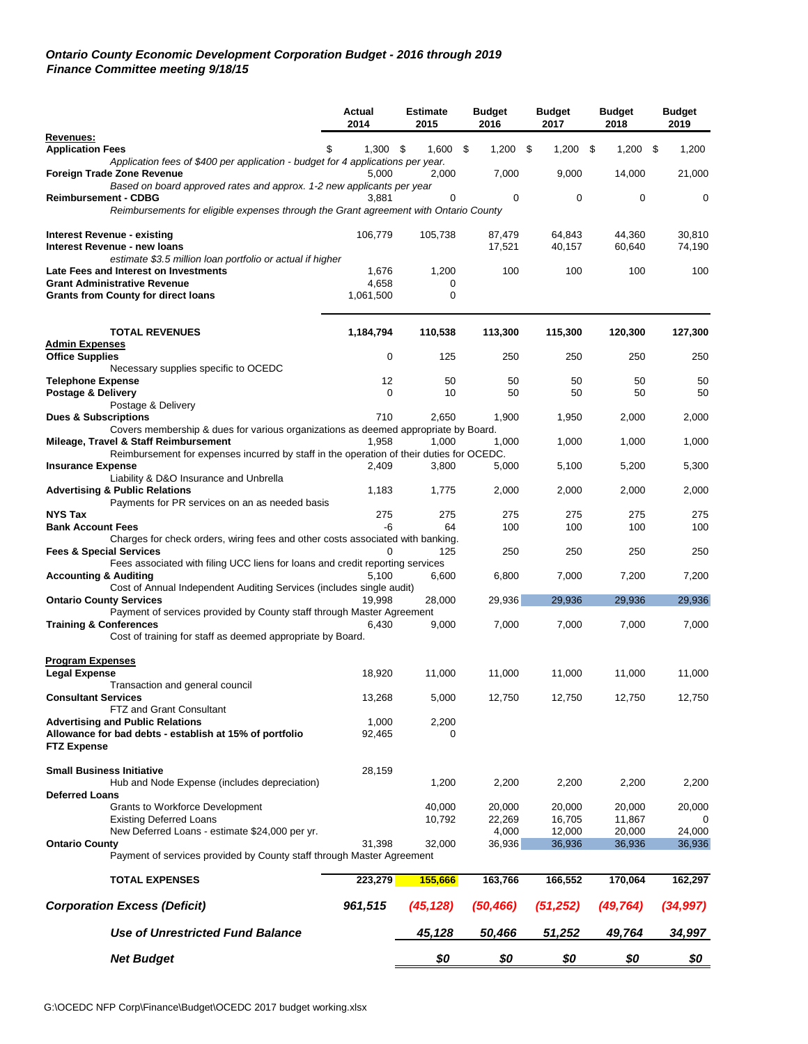## *Ontario County Economic Development Corporation Budget - 2016 through 2019 Finance Committee meeting 9/18/15*

|                                                                                                                       | Actual<br>2014 | <b>Estimate</b><br>2015 | <b>Budget</b><br>2016 | <b>Budget</b><br>2017 | <b>Budget</b><br>2018 | <b>Budget</b><br>2019 |
|-----------------------------------------------------------------------------------------------------------------------|----------------|-------------------------|-----------------------|-----------------------|-----------------------|-----------------------|
| Revenues:                                                                                                             |                |                         |                       |                       |                       |                       |
| <b>Application Fees</b><br>Application fees of \$400 per application - budget for 4 applications per year.            | $1.300$ \$     | 1,600                   | \$<br>$1,200$ \$      | 1,200                 | \$<br>1,200           | -\$<br>1,200          |
| Foreign Trade Zone Revenue<br>Based on board approved rates and approx. 1-2 new applicants per year                   | 5,000          | 2,000                   | 7,000                 | 9,000                 | 14,000                | 21,000                |
| <b>Reimbursement - CDBG</b>                                                                                           | 3,881          | $\Omega$                | 0                     | 0                     | 0                     | 0                     |
| Reimbursements for eligible expenses through the Grant agreement with Ontario County                                  |                |                         |                       |                       |                       |                       |
|                                                                                                                       |                |                         |                       |                       |                       |                       |
| Interest Revenue - existing<br>Interest Revenue - new loans                                                           | 106,779        | 105,738                 | 87,479<br>17,521      | 64,843<br>40,157      | 44,360<br>60,640      | 30,810<br>74,190      |
| estimate \$3.5 million loan portfolio or actual if higher                                                             |                |                         |                       |                       |                       |                       |
| Late Fees and Interest on Investments                                                                                 | 1,676          | 1,200                   | 100                   | 100                   | 100                   | 100                   |
| <b>Grant Administrative Revenue</b>                                                                                   | 4,658          | 0                       |                       |                       |                       |                       |
| <b>Grants from County for direct loans</b>                                                                            | 1,061,500      | 0                       |                       |                       |                       |                       |
|                                                                                                                       |                |                         |                       |                       |                       |                       |
| <b>TOTAL REVENUES</b>                                                                                                 | 1,184,794      | 110,538                 | 113,300               | 115,300               | 120,300               | 127,300               |
| <b>Admin Expenses</b>                                                                                                 |                |                         |                       |                       |                       |                       |
| <b>Office Supplies</b>                                                                                                | $\mathbf 0$    | 125                     | 250                   | 250                   | 250                   | 250                   |
| Necessary supplies specific to OCEDC                                                                                  |                |                         |                       |                       |                       |                       |
| <b>Telephone Expense</b>                                                                                              | 12             | 50                      | 50                    | 50                    | 50                    | 50                    |
| Postage & Delivery                                                                                                    | $\mathbf 0$    | 10                      | 50                    | 50                    | 50                    | 50                    |
| Postage & Delivery                                                                                                    | 710            |                         |                       |                       |                       |                       |
| <b>Dues &amp; Subscriptions</b><br>Covers membership & dues for various organizations as deemed appropriate by Board. |                | 2,650                   | 1,900                 | 1,950                 | 2,000                 | 2,000                 |
| Mileage, Travel & Staff Reimbursement                                                                                 | 1.958          | 1,000                   | 1,000                 | 1,000                 | 1,000                 | 1,000                 |
| Reimbursement for expenses incurred by staff in the operation of their duties for OCEDC.                              |                |                         |                       |                       |                       |                       |
| <b>Insurance Expense</b>                                                                                              | 2,409          | 3,800                   | 5,000                 | 5,100                 | 5,200                 | 5,300                 |
| Liability & D&O Insurance and Unbrella                                                                                |                |                         |                       |                       |                       |                       |
| <b>Advertising &amp; Public Relations</b>                                                                             | 1,183          | 1,775                   | 2,000                 | 2,000                 | 2,000                 | 2,000                 |
| Payments for PR services on an as needed basis                                                                        |                |                         |                       |                       |                       |                       |
| <b>NYS Tax</b>                                                                                                        | 275            | 275                     | 275                   | 275                   | 275                   | 275                   |
| <b>Bank Account Fees</b>                                                                                              | -6             | 64                      | 100                   | 100                   | 100                   | 100                   |
| Charges for check orders, wiring fees and other costs associated with banking.<br><b>Fees &amp; Special Services</b>  |                | 125                     | 250                   | 250                   | 250                   | 250                   |
| Fees associated with filing UCC liens for loans and credit reporting services                                         |                |                         |                       |                       |                       |                       |
| <b>Accounting &amp; Auditing</b>                                                                                      | 5,100          | 6,600                   | 6,800                 | 7,000                 | 7,200                 | 7,200                 |
| Cost of Annual Independent Auditing Services (includes single audit)                                                  |                |                         |                       |                       |                       |                       |
| <b>Ontario County Services</b>                                                                                        | 19.998         | 28,000                  | 29,936                | 29,936                | 29,936                | 29,936                |
| Payment of services provided by County staff through Master Agreement                                                 |                |                         |                       |                       |                       |                       |
| <b>Training &amp; Conferences</b>                                                                                     | 6,430          | 9,000                   | 7,000                 | 7,000                 | 7,000                 | 7,000                 |
| Cost of training for staff as deemed appropriate by Board.                                                            |                |                         |                       |                       |                       |                       |
| <b>Program Expenses</b>                                                                                               |                |                         |                       |                       |                       |                       |
| <b>Legal Expense</b>                                                                                                  | 18,920         | 11,000                  | 11,000                | 11,000                | 11,000                | 11,000                |
| Transaction and general council                                                                                       |                |                         |                       |                       |                       |                       |
| Consultant Services                                                                                                   | 13,268         | 5,000                   | 12,750                | 12,750                | 12,750                | 12,750                |
| FTZ and Grant Consultant                                                                                              |                |                         |                       |                       |                       |                       |
| <b>Advertising and Public Relations</b>                                                                               | 1,000          | 2,200                   |                       |                       |                       |                       |
| Allowance for bad debts - establish at 15% of portfolio                                                               | 92,465         | 0                       |                       |                       |                       |                       |
| <b>FTZ Expense</b>                                                                                                    |                |                         |                       |                       |                       |                       |
| <b>Small Business Initiative</b>                                                                                      | 28,159         |                         |                       |                       |                       |                       |
| Hub and Node Expense (includes depreciation)                                                                          |                | 1,200                   | 2,200                 | 2,200                 | 2,200                 | 2,200                 |
| <b>Deferred Loans</b>                                                                                                 |                |                         |                       |                       |                       |                       |
| <b>Grants to Workforce Development</b>                                                                                |                | 40,000                  | 20,000                | 20,000                | 20,000                | 20,000                |
| <b>Existing Deferred Loans</b>                                                                                        |                | 10,792                  | 22,269                | 16,705                | 11,867                |                       |
| New Deferred Loans - estimate \$24,000 per yr.                                                                        |                |                         | 4,000                 | 12,000                | 20,000                | 24,000                |
| <b>Ontario County</b>                                                                                                 | 31,398         | 32,000                  | 36,936                | 36,936                | 36,936                | 36,936                |
| Payment of services provided by County staff through Master Agreement                                                 |                |                         |                       |                       |                       |                       |
| <b>TOTAL EXPENSES</b>                                                                                                 | 223,279        | 155,666                 | 163,766               | 166,552               | 170,064               | 162,297               |
| <b>Corporation Excess (Deficit)</b>                                                                                   | 961,515        | (45, 128)               | (50, 466)             | (51, 252)             | (49, 764)             | (34, 997)             |
| Use of Unrestricted Fund Balance                                                                                      |                | 45,128                  | 50,466                | 51,252                | 49,764                | 34,997                |
| <b>Net Budget</b>                                                                                                     |                | \$0                     | \$0                   | \$0                   | \$0                   | \$0                   |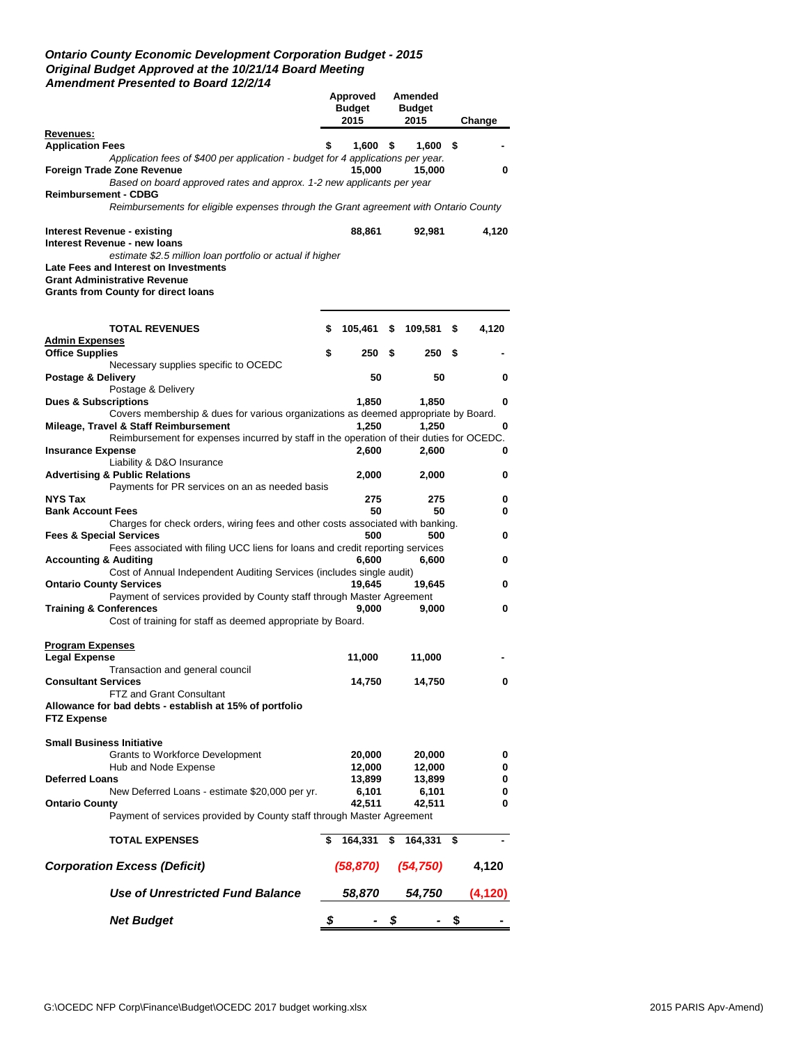## *Ontario County Economic Development Corporation Budget - 2015 Original Budget Approved at the 10/21/14 Board Meeting Amendment Presented to Board 12/2/14*

|                                                                                                                      |    | Approved<br><b>Budget</b><br>2015 |      | Amended<br><b>Budget</b><br>2015 |      | Change  |
|----------------------------------------------------------------------------------------------------------------------|----|-----------------------------------|------|----------------------------------|------|---------|
| Revenues:                                                                                                            |    |                                   |      |                                  |      |         |
| <b>Application Fees</b>                                                                                              |    | 1,600                             | - \$ | 1,600                            | S.   |         |
| Application fees of \$400 per application - budget for 4 applications per year.<br>Foreign Trade Zone Revenue        |    | 15,000                            |      | 15,000                           |      | 0       |
| Based on board approved rates and approx. 1-2 new applicants per year                                                |    |                                   |      |                                  |      |         |
| <b>Reimbursement - CDBG</b><br>Reimbursements for eligible expenses through the Grant agreement with Ontario County  |    |                                   |      |                                  |      |         |
| Interest Revenue - existing                                                                                          |    | 88,861                            |      | 92,981                           |      | 4,120   |
| Interest Revenue - new loans                                                                                         |    |                                   |      |                                  |      |         |
| estimate \$2.5 million loan portfolio or actual if higher                                                            |    |                                   |      |                                  |      |         |
| Late Fees and Interest on Investments                                                                                |    |                                   |      |                                  |      |         |
| <b>Grant Administrative Revenue</b>                                                                                  |    |                                   |      |                                  |      |         |
| <b>Grants from County for direct loans</b>                                                                           |    |                                   |      |                                  |      |         |
| <b>TOTAL REVENUES</b>                                                                                                | \$ | 105,461                           | \$   | 109,581                          | \$   | 4,120   |
| <b>Admin Expenses</b>                                                                                                |    |                                   |      |                                  |      |         |
| <b>Office Supplies</b>                                                                                               | \$ | 250                               | - \$ | 250                              | S    |         |
| Necessary supplies specific to OCEDC                                                                                 |    |                                   |      |                                  |      |         |
| Postage & Delivery                                                                                                   |    | 50                                |      | 50                               |      | 0       |
| Postage & Delivery                                                                                                   |    |                                   |      |                                  |      |         |
| <b>Dues &amp; Subscriptions</b>                                                                                      |    | 1,850                             |      | 1,850                            |      | 0       |
| Covers membership & dues for various organizations as deemed appropriate by Board.                                   |    |                                   |      |                                  |      |         |
| Mileage, Travel & Staff Reimbursement                                                                                |    | 1,250                             |      | 1,250                            |      | 0       |
| Reimbursement for expenses incurred by staff in the operation of their duties for OCEDC.<br><b>Insurance Expense</b> |    | 2,600                             |      | 2,600                            |      | 0       |
| Liability & D&O Insurance                                                                                            |    |                                   |      |                                  |      |         |
| <b>Advertising &amp; Public Relations</b>                                                                            |    | 2,000                             |      | 2,000                            |      | 0       |
| Payments for PR services on an as needed basis                                                                       |    |                                   |      |                                  |      |         |
| NYS Tax                                                                                                              |    | 275                               |      | 275                              |      | 0       |
| <b>Bank Account Fees</b>                                                                                             |    | 50                                |      | 50                               |      | 0       |
| Charges for check orders, wiring fees and other costs associated with banking.                                       |    |                                   |      |                                  |      |         |
| <b>Fees &amp; Special Services</b>                                                                                   |    | 500                               |      | 500                              |      | 0       |
| Fees associated with filing UCC liens for loans and credit reporting services                                        |    |                                   |      |                                  |      |         |
| <b>Accounting &amp; Auditing</b>                                                                                     |    | 6,600                             |      | 6,600                            |      | 0       |
| Cost of Annual Independent Auditing Services (includes single audit)                                                 |    | 19,645                            |      |                                  |      | 0       |
| <b>Ontario County Services</b><br>Payment of services provided by County staff through Master Agreement              |    |                                   |      | 19,645                           |      |         |
| <b>Training &amp; Conferences</b>                                                                                    |    | 9,000                             |      | 9,000                            |      | 0       |
| Cost of training for staff as deemed appropriate by Board.                                                           |    |                                   |      |                                  |      |         |
|                                                                                                                      |    |                                   |      |                                  |      |         |
| <b>Program Expenses</b>                                                                                              |    |                                   |      |                                  |      |         |
| <b>Legal Expense</b>                                                                                                 |    | 11,000                            |      | 11,000                           |      |         |
| Transaction and general council                                                                                      |    |                                   |      |                                  |      |         |
| <b>Consultant Services</b>                                                                                           |    | 14,750                            |      | 14,750                           |      | 0       |
| FTZ and Grant Consultant                                                                                             |    |                                   |      |                                  |      |         |
| Allowance for bad debts - establish at 15% of portfolio<br><b>FTZ Expense</b>                                        |    |                                   |      |                                  |      |         |
|                                                                                                                      |    |                                   |      |                                  |      |         |
| <b>Small Business Initiative</b>                                                                                     |    |                                   |      |                                  |      |         |
| <b>Grants to Workforce Development</b>                                                                               |    | 20,000                            |      | 20,000<br>12,000                 |      | 0       |
| Hub and Node Expense<br><b>Deferred Loans</b>                                                                        |    | 12,000<br>13,899                  |      | 13,899                           |      | 0<br>0  |
| New Deferred Loans - estimate \$20,000 per yr.                                                                       |    | 6,101                             |      | 6,101                            |      | 0       |
| <b>Ontario County</b>                                                                                                |    | 42,511                            |      | 42,511                           |      | 0       |
| Payment of services provided by County staff through Master Agreement                                                |    |                                   |      |                                  |      |         |
| <b>TOTAL EXPENSES</b>                                                                                                | S  | 164.331                           | \$   | 164,331                          | \$   |         |
| <b>Corporation Excess (Deficit)</b>                                                                                  |    | (58,870)                          |      | (54, 750)                        |      | 4,120   |
| Use of Unrestricted Fund Balance                                                                                     |    | 58,870                            |      | 54,750                           |      | (4,120) |
| <b>Net Budget</b>                                                                                                    | \$ |                                   | - \$ |                                  | - \$ |         |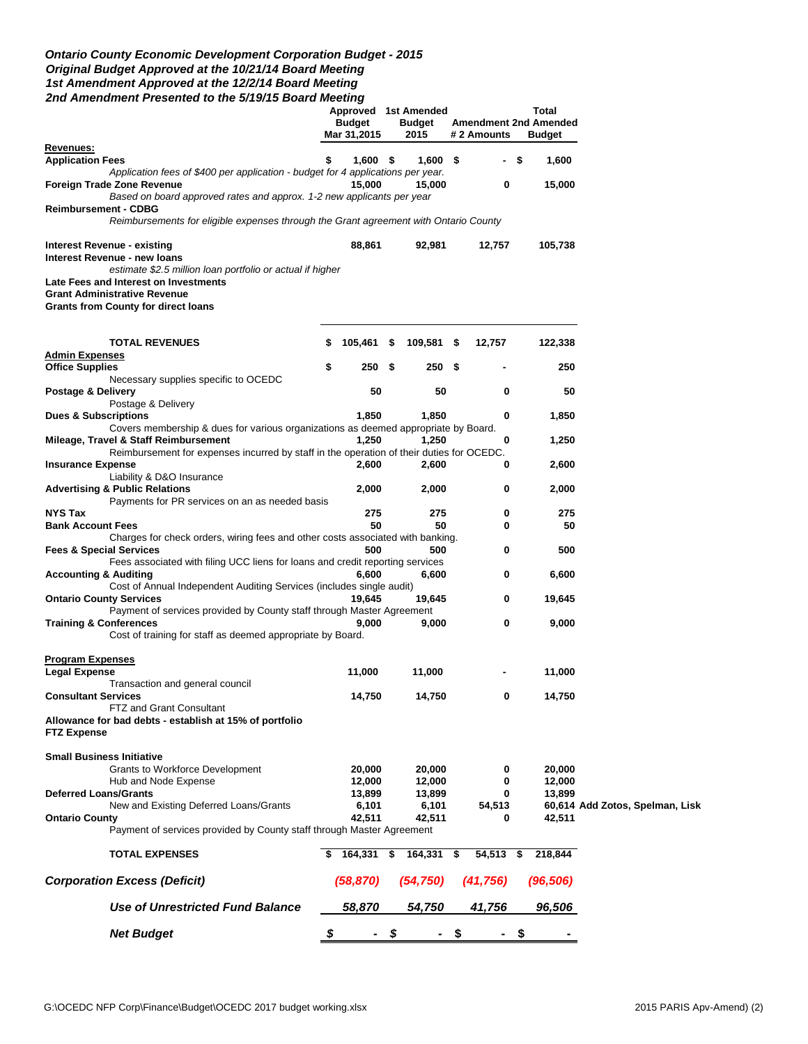### *Ontario County Economic Development Corporation Budget - 2015 Original Budget Approved at the 10/21/14 Board Meeting 1st Amendment Approved at the 12/2/14 Board Meeting 2nd Amendment Presented to the 5/19/15 Board Meeting*

|                                                                                                                            | <b>Budget</b><br>Mar 31,2015 |      | Approved 1st Amended<br><b>Budget</b><br>2015 |      | # 2 Amounts |      | Total<br><b>Amendment 2nd Amended</b><br><b>Budget</b> |                                 |
|----------------------------------------------------------------------------------------------------------------------------|------------------------------|------|-----------------------------------------------|------|-------------|------|--------------------------------------------------------|---------------------------------|
| <u>Revenues:</u><br><b>Application Fees</b>                                                                                | \$<br>$1,600$ \$             |      | $1,600$ \$                                    |      |             | - \$ | 1,600                                                  |                                 |
| Application fees of \$400 per application - budget for 4 applications per year.                                            |                              |      |                                               |      |             |      |                                                        |                                 |
| Foreign Trade Zone Revenue<br>Based on board approved rates and approx. 1-2 new applicants per year                        | 15,000                       |      | 15,000                                        |      | 0           |      | 15,000                                                 |                                 |
| <b>Reimbursement - CDBG</b><br>Reimbursements for eligible expenses through the Grant agreement with Ontario County        |                              |      |                                               |      |             |      |                                                        |                                 |
| Interest Revenue - existing                                                                                                | 88,861                       |      | 92,981                                        |      | 12,757      |      | 105,738                                                |                                 |
| Interest Revenue - new loans                                                                                               |                              |      |                                               |      |             |      |                                                        |                                 |
| estimate \$2.5 million loan portfolio or actual if higher                                                                  |                              |      |                                               |      |             |      |                                                        |                                 |
| Late Fees and Interest on Investments<br><b>Grant Administrative Revenue</b><br><b>Grants from County for direct loans</b> |                              |      |                                               |      |             |      |                                                        |                                 |
|                                                                                                                            |                              |      |                                               |      |             |      |                                                        |                                 |
| <b>TOTAL REVENUES</b><br><b>Admin Expenses</b>                                                                             | \$<br>105,461                | \$   | 109,581                                       | \$.  | 12,757      |      | 122,338                                                |                                 |
| <b>Office Supplies</b>                                                                                                     | \$<br>250                    | - \$ | 250                                           | - \$ |             |      | 250                                                    |                                 |
| Necessary supplies specific to OCEDC                                                                                       |                              |      |                                               |      |             |      |                                                        |                                 |
| Postage & Delivery                                                                                                         | 50                           |      | 50                                            |      | 0           |      | 50                                                     |                                 |
| Postage & Delivery<br><b>Dues &amp; Subscriptions</b>                                                                      | 1,850                        |      | 1,850                                         |      | 0           |      | 1,850                                                  |                                 |
| Covers membership & dues for various organizations as deemed appropriate by Board.                                         |                              |      |                                               |      |             |      |                                                        |                                 |
| Mileage, Travel & Staff Reimbursement                                                                                      | 1,250                        |      | 1,250                                         |      | 0           |      | 1,250                                                  |                                 |
| Reimbursement for expenses incurred by staff in the operation of their duties for OCEDC.                                   |                              |      |                                               |      |             |      |                                                        |                                 |
| <b>Insurance Expense</b>                                                                                                   | 2,600                        |      | 2,600                                         |      | 0           |      | 2,600                                                  |                                 |
| Liability & D&O Insurance<br><b>Advertising &amp; Public Relations</b><br>Payments for PR services on an as needed basis   | 2,000                        |      | 2,000                                         |      | 0           |      | 2,000                                                  |                                 |
| <b>NYS Tax</b>                                                                                                             | 275                          |      | 275                                           |      | 0           |      | 275                                                    |                                 |
| <b>Bank Account Fees</b>                                                                                                   | 50                           |      | 50                                            |      | 0           |      | 50                                                     |                                 |
| Charges for check orders, wiring fees and other costs associated with banking.                                             |                              |      |                                               |      |             |      |                                                        |                                 |
| <b>Fees &amp; Special Services</b>                                                                                         | 500                          |      | 500                                           |      | 0           |      | 500                                                    |                                 |
| Fees associated with filing UCC liens for loans and credit reporting services<br><b>Accounting &amp; Auditing</b>          | 6,600                        |      | 6,600                                         |      | 0           |      | 6,600                                                  |                                 |
| Cost of Annual Independent Auditing Services (includes single audit)                                                       |                              |      |                                               |      |             |      |                                                        |                                 |
| <b>Ontario County Services</b>                                                                                             | 19,645                       |      | 19,645                                        |      | 0           |      | 19,645                                                 |                                 |
| Payment of services provided by County staff through Master Agreement                                                      |                              |      |                                               |      |             |      |                                                        |                                 |
| <b>Training &amp; Conferences</b><br>Cost of training for staff as deemed appropriate by Board.                            | 9,000                        |      | 9,000                                         |      | 0           |      | 9,000                                                  |                                 |
| <b>Program Expenses</b>                                                                                                    |                              |      |                                               |      |             |      |                                                        |                                 |
| <b>Legal Expense</b>                                                                                                       | 11,000                       |      | 11,000                                        |      |             |      | 11,000                                                 |                                 |
| Transaction and general council<br><b>Consultant Services</b>                                                              | 14,750                       |      | 14,750                                        |      | 0           |      | 14,750                                                 |                                 |
| FTZ and Grant Consultant                                                                                                   |                              |      |                                               |      |             |      |                                                        |                                 |
| Allowance for bad debts - establish at 15% of portfolio<br><b>FTZ Expense</b>                                              |                              |      |                                               |      |             |      |                                                        |                                 |
| <b>Small Business Initiative</b>                                                                                           |                              |      |                                               |      |             |      |                                                        |                                 |
| <b>Grants to Workforce Development</b>                                                                                     | 20,000                       |      | 20,000                                        |      | 0           |      | 20,000                                                 |                                 |
| Hub and Node Expense                                                                                                       | 12,000                       |      | 12,000                                        |      | 0           |      | 12,000                                                 |                                 |
| <b>Deferred Loans/Grants</b>                                                                                               | 13,899                       |      | 13,899                                        |      | 0           |      | 13,899                                                 |                                 |
| New and Existing Deferred Loans/Grants                                                                                     | 6,101                        |      | 6,101                                         |      | 54,513      |      |                                                        | 60,614 Add Zotos, Spelman, Lisk |
| <b>Ontario County</b><br>Payment of services provided by County staff through Master Agreement                             | 42,511                       |      | 42,511                                        |      | 0           |      | 42,511                                                 |                                 |
| <b>TOTAL EXPENSES</b>                                                                                                      | 164,331 \$                   |      | 164,331 \$                                    |      | 54,513 \$   |      | 218,844                                                |                                 |
| <b>Corporation Excess (Deficit)</b>                                                                                        | (58, 870)                    |      | (54, 750)                                     |      | (41, 756)   |      | (96, 506)                                              |                                 |
| Use of Unrestricted Fund Balance                                                                                           | 58,870                       |      | 54,750                                        |      | 41,756      |      | 96,506                                                 |                                 |
| <b>Net Budget</b>                                                                                                          | \$                           | \$   |                                               | \$   |             | \$   |                                                        |                                 |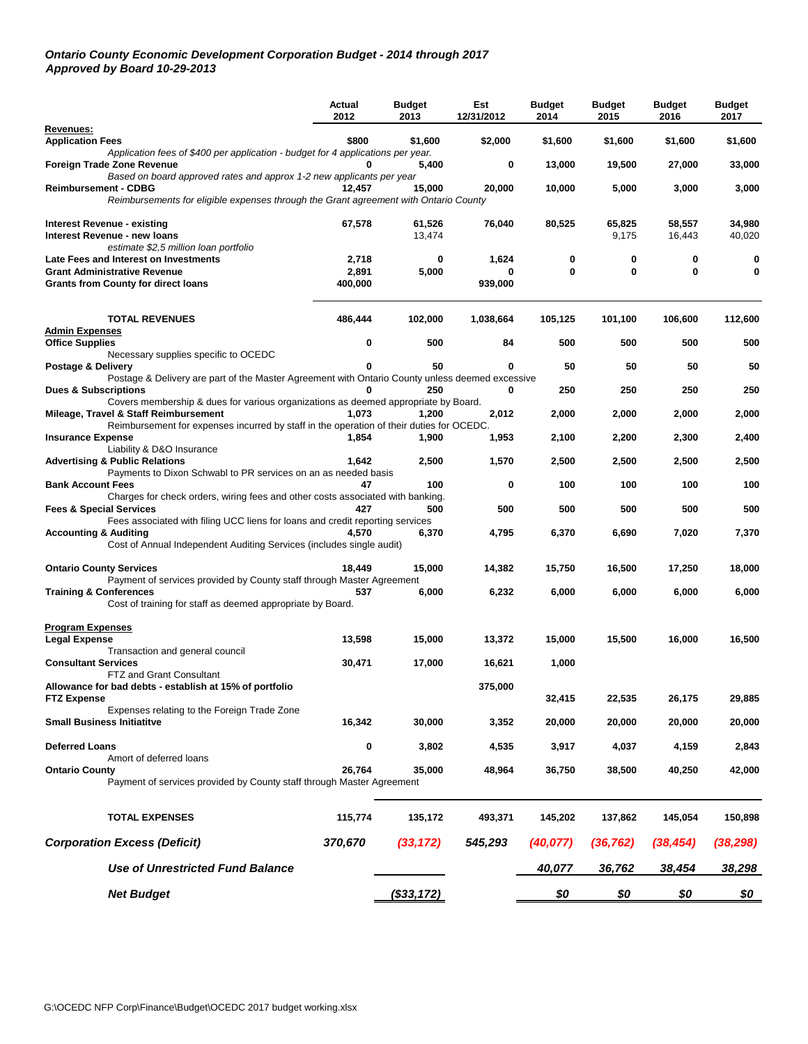#### *Ontario County Economic Development Corporation Budget - 2014 through 2017 Approved by Board 10-29-2013*

|                                                                                                                                  | Actual<br>2012 | <b>Budget</b><br>2013 | Est<br>12/31/2012 | <b>Budget</b><br>2014 | <b>Budget</b><br>2015 | <b>Budget</b><br>2016 | <b>Budget</b><br>2017 |
|----------------------------------------------------------------------------------------------------------------------------------|----------------|-----------------------|-------------------|-----------------------|-----------------------|-----------------------|-----------------------|
| Revenues:                                                                                                                        | \$800          |                       |                   |                       |                       |                       |                       |
| <b>Application Fees</b><br>Application fees of \$400 per application - budget for 4 applications per year.                       |                | \$1,600               | \$2,000           | \$1,600               | \$1,600               | \$1,600               | \$1,600               |
| Foreign Trade Zone Revenue                                                                                                       |                | 5,400                 | 0                 | 13,000                | 19,500                | 27,000                | 33,000                |
| Based on board approved rates and approx 1-2 new applicants per year<br><b>Reimbursement - CDBG</b>                              | 12,457         | 15,000                | 20,000            | 10,000                | 5,000                 | 3,000                 | 3,000                 |
| Reimbursements for eligible expenses through the Grant agreement with Ontario County                                             |                |                       |                   |                       |                       |                       |                       |
| <b>Interest Revenue - existing</b>                                                                                               | 67,578         | 61,526                | 76,040            | 80,525                | 65,825                | 58,557                | 34,980                |
| Interest Revenue - new loans                                                                                                     |                | 13,474                |                   |                       | 9,175                 | 16,443                | 40,020                |
| estimate \$2,5 million loan portfolio                                                                                            |                |                       |                   |                       |                       |                       |                       |
| Late Fees and Interest on Investments<br><b>Grant Administrative Revenue</b>                                                     | 2,718<br>2,891 | 0<br>5,000            | 1,624<br>0        | 0<br>0                | 0<br>0                | 0<br>0                | 0<br>0                |
| <b>Grants from County for direct loans</b>                                                                                       | 400,000        |                       | 939,000           |                       |                       |                       |                       |
|                                                                                                                                  |                |                       |                   |                       |                       |                       |                       |
| <b>TOTAL REVENUES</b><br>Admin Expenses                                                                                          | 486,444        | 102,000               | 1,038,664         | 105,125               | 101,100               | 106,600               | 112,600               |
| <b>Office Supplies</b>                                                                                                           | 0              | 500                   | 84                | 500                   | 500                   | 500                   | 500                   |
| Necessary supplies specific to OCEDC                                                                                             |                |                       |                   |                       |                       |                       |                       |
| Postage & Delivery<br>Postage & Delivery are part of the Master Agreement with Ontario County unless deemed excessive            |                | 50                    | 0                 | 50                    | 50                    | 50                    | 50                    |
| <b>Dues &amp; Subscriptions</b>                                                                                                  |                | 250                   | 0                 | 250                   | 250                   | 250                   | 250                   |
| Covers membership & dues for various organizations as deemed appropriate by Board.                                               |                |                       |                   |                       |                       |                       |                       |
| Mileage, Travel & Staff Reimbursement<br>Reimbursement for expenses incurred by staff in the operation of their duties for OCEDC | 1,073          | 1,200                 | 2,012             | 2,000                 | 2,000                 | 2,000                 | 2,000                 |
| <b>Insurance Expense</b>                                                                                                         | 1,854          | 1,900                 | 1,953             | 2,100                 | 2,200                 | 2,300                 | 2,400                 |
| Liability & D&O Insurance                                                                                                        |                |                       |                   |                       |                       |                       |                       |
| <b>Advertising &amp; Public Relations</b><br>Payments to Dixon Schwabl to PR services on an as needed basis                      | 1,642          | 2,500                 | 1,570             | 2,500                 | 2,500                 | 2,500                 | 2,500                 |
| <b>Bank Account Fees</b>                                                                                                         | 47             | 100                   | 0                 | 100                   | 100                   | 100                   | 100                   |
| Charges for check orders, wiring fees and other costs associated with banking.                                                   |                |                       |                   |                       |                       |                       |                       |
| <b>Fees &amp; Special Services</b><br>Fees associated with filing UCC liens for loans and credit reporting services              | 427            | 500                   | 500               | 500                   | 500                   | 500                   | 500                   |
| <b>Accounting &amp; Auditing</b>                                                                                                 | 4.570          | 6,370                 | 4,795             | 6,370                 | 6,690                 | 7,020                 | 7,370                 |
| Cost of Annual Independent Auditing Services (includes single audit)                                                             |                |                       |                   |                       |                       |                       |                       |
| <b>Ontario County Services</b>                                                                                                   | 18,449         | 15,000                | 14,382            | 15,750                | 16,500                | 17,250                | 18,000                |
| Payment of services provided by County staff through Master Agreement                                                            |                |                       |                   |                       |                       |                       |                       |
| <b>Training &amp; Conferences</b><br>Cost of training for staff as deemed appropriate by Board.                                  | 537            | 6,000                 | 6,232             | 6,000                 | 6,000                 | 6,000                 | 6,000                 |
|                                                                                                                                  |                |                       |                   |                       |                       |                       |                       |
| <b>Program Expenses</b><br><b>Legal Expense</b>                                                                                  |                |                       |                   |                       |                       |                       |                       |
| Transaction and general council                                                                                                  | 13,598         | 15,000                | 13,372            | 15,000                | 15,500                | 16,000                | 16,500                |
| <b>Consultant Services</b>                                                                                                       | 30,471         | 17,000                | 16,621            | 1,000                 |                       |                       |                       |
| FTZ and Grant Consultant<br>Allowance for bad debts - establish at 15% of portfolio                                              |                |                       | 375,000           |                       |                       |                       |                       |
| <b>FTZ Expense</b>                                                                                                               |                |                       |                   | 32,415                | 22,535                | 26,175                | 29,885                |
| Expenses relating to the Foreign Trade Zone                                                                                      |                |                       |                   |                       |                       |                       |                       |
| <b>Small Business Initiatitve</b>                                                                                                | 16,342         | 30,000                | 3,352             | 20,000                | 20,000                | 20,000                | 20,000                |
| <b>Deferred Loans</b>                                                                                                            | 0              | 3,802                 | 4,535             | 3,917                 | 4,037                 | 4,159                 | 2,843                 |
| Amort of deferred loans<br><b>Ontario County</b>                                                                                 | 26,764         | 35,000                | 48,964            | 36,750                | 38,500                | 40,250                |                       |
| Payment of services provided by County staff through Master Agreement                                                            |                |                       |                   |                       |                       |                       | 42,000                |
|                                                                                                                                  |                |                       |                   |                       |                       |                       |                       |
| <b>TOTAL EXPENSES</b>                                                                                                            | 115,774        | 135,172               | 493,371           | 145,202               | 137,862               | 145,054               | 150,898               |
|                                                                                                                                  |                |                       |                   |                       |                       |                       |                       |
| <b>Corporation Excess (Deficit)</b>                                                                                              | 370,670        | (33, 172)             | 545,293           | (40, 077)             | (36, 762)             | (38, 454)             | (38, 298)             |
| <b>Use of Unrestricted Fund Balance</b>                                                                                          |                |                       |                   | 40,077                | 36,762                | 38,454                | 38,298                |
| <b>Net Budget</b>                                                                                                                |                | (\$33,172)            |                   | \$0                   | <u>\$0</u>            | \$0                   | \$0                   |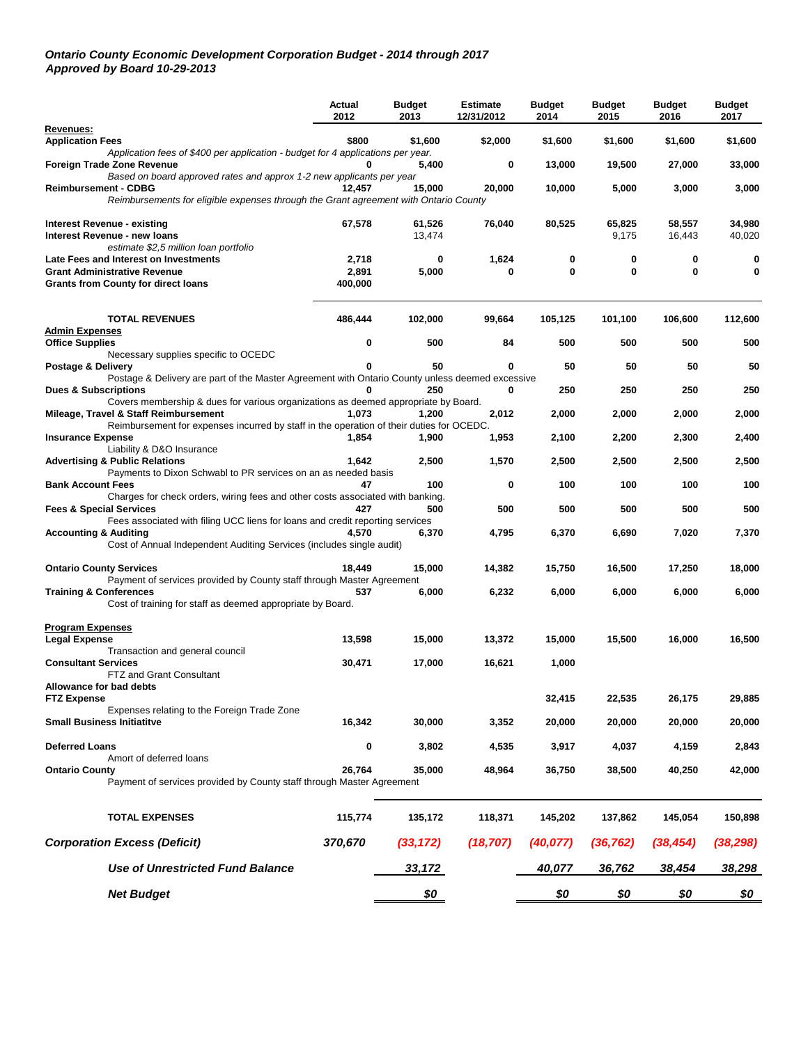#### *Ontario County Economic Development Corporation Budget - 2014 through 2017 Approved by Board 10-29-2013*

|                                                                                                                                   | Actual<br>2012 | <b>Budget</b><br>2013 | <b>Estimate</b><br>12/31/2012 | <b>Budget</b><br>2014 | <b>Budget</b><br>2015 | <b>Budget</b><br>2016 | <b>Budget</b><br>2017 |
|-----------------------------------------------------------------------------------------------------------------------------------|----------------|-----------------------|-------------------------------|-----------------------|-----------------------|-----------------------|-----------------------|
| Revenues:                                                                                                                         |                |                       |                               |                       |                       |                       |                       |
| <b>Application Fees</b><br>Application fees of \$400 per application - budget for 4 applications per year.                        | \$800          | \$1,600               | \$2,000                       | \$1,600               | \$1,600               | \$1,600               | \$1,600               |
| Foreign Trade Zone Revenue<br>Based on board approved rates and approx 1-2 new applicants per year                                |                | 5,400                 | 0                             | 13,000                | 19,500                | 27,000                | 33,000                |
| <b>Reimbursement - CDBG</b><br>Reimbursements for eligible expenses through the Grant agreement with Ontario County               | 12,457         | 15,000                | 20,000                        | 10,000                | 5,000                 | 3,000                 | 3,000                 |
| <b>Interest Revenue - existing</b>                                                                                                | 67,578         | 61,526                | 76,040                        | 80,525                | 65,825                | 58,557                | 34,980                |
| Interest Revenue - new loans                                                                                                      |                | 13,474                |                               |                       | 9,175                 | 16,443                | 40,020                |
| estimate \$2,5 million loan portfolio<br>Late Fees and Interest on Investments                                                    |                |                       |                               |                       |                       |                       |                       |
| <b>Grant Administrative Revenue</b>                                                                                               | 2,718<br>2,891 | 0<br>5,000            | 1,624<br>0                    | 0<br>0                | 0<br>0                | 0<br>0                | 0<br>0                |
| <b>Grants from County for direct loans</b>                                                                                        | 400,000        |                       |                               |                       |                       |                       |                       |
| <b>TOTAL REVENUES</b>                                                                                                             | 486,444        | 102,000               | 99,664                        | 105,125               | 101,100               | 106,600               | 112,600               |
| <b>Admin Expenses</b>                                                                                                             |                |                       |                               |                       |                       |                       |                       |
| <b>Office Supplies</b><br>Necessary supplies specific to OCEDC                                                                    | 0              | 500                   | 84                            | 500                   | 500                   | 500                   | 500                   |
| Postage & Delivery                                                                                                                |                | 50                    | 0                             | 50                    | 50                    | 50                    | 50                    |
| Postage & Delivery are part of the Master Agreement with Ontario County unless deemed excessive                                   |                |                       |                               |                       |                       |                       |                       |
| <b>Dues &amp; Subscriptions</b><br>Covers membership & dues for various organizations as deemed appropriate by Board.             |                | 250                   | 0                             | 250                   | 250                   | 250                   | 250                   |
| Mileage, Travel & Staff Reimbursement<br>Reimbursement for expenses incurred by staff in the operation of their duties for OCEDC. | 1,073          | 1,200                 | 2,012                         | 2,000                 | 2,000                 | 2,000                 | 2,000                 |
| <b>Insurance Expense</b>                                                                                                          | 1,854          | 1,900                 | 1,953                         | 2,100                 | 2,200                 | 2,300                 | 2,400                 |
| Liability & D&O Insurance<br><b>Advertising &amp; Public Relations</b>                                                            | 1,642          | 2,500                 | 1,570                         | 2,500                 | 2,500                 | 2,500                 | 2,500                 |
| Payments to Dixon Schwabl to PR services on an as needed basis<br><b>Bank Account Fees</b>                                        | 47             | 100                   | 0                             | 100                   | 100                   | 100                   | 100                   |
| Charges for check orders, wiring fees and other costs associated with banking.                                                    |                |                       |                               |                       |                       |                       |                       |
| <b>Fees &amp; Special Services</b><br>Fees associated with filing UCC liens for loans and credit reporting services               | 427            | 500                   | 500                           | 500                   | 500                   | 500                   | 500                   |
| <b>Accounting &amp; Auditing</b><br>Cost of Annual Independent Auditing Services (includes single audit)                          | 4,570          | 6,370                 | 4,795                         | 6,370                 | 6,690                 | 7,020                 | 7,370                 |
| <b>Ontario County Services</b>                                                                                                    | 18,449         | 15,000                | 14,382                        | 15,750                | 16,500                | 17,250                | 18,000                |
| Payment of services provided by County staff through Master Agreement                                                             |                |                       |                               |                       |                       |                       |                       |
| <b>Training &amp; Conferences</b><br>Cost of training for staff as deemed appropriate by Board.                                   | 537            | 6,000                 | 6,232                         | 6,000                 | 6,000                 | 6,000                 | 6,000                 |
| <b>Program Expenses</b>                                                                                                           |                |                       |                               |                       |                       |                       |                       |
| <b>Legal Expense</b><br>Transaction and general council                                                                           | 13,598         | 15,000                | 13,372                        | 15,000                | 15,500                | 16,000                | 16,500                |
| <b>Consultant Services</b><br><b>FTZ and Grant Consultant</b>                                                                     | 30,471         | 17,000                | 16,621                        | 1,000                 |                       |                       |                       |
| Allowance for bad debts                                                                                                           |                |                       |                               |                       |                       |                       |                       |
| <b>FTZ Expense</b>                                                                                                                |                |                       |                               | 32,415                | 22,535                | 26,175                | 29,885                |
| Expenses relating to the Foreign Trade Zone<br><b>Small Business Initiatitve</b>                                                  | 16,342         | 30,000                | 3,352                         | 20,000                | 20,000                | 20,000                | 20,000                |
| <b>Deferred Loans</b>                                                                                                             | 0              | 3,802                 | 4,535                         | 3,917                 | 4,037                 | 4,159                 | 2,843                 |
| Amort of deferred loans                                                                                                           |                |                       |                               |                       |                       |                       |                       |
| <b>Ontario County</b><br>Payment of services provided by County staff through Master Agreement                                    | 26,764         | 35,000                | 48,964                        | 36,750                | 38,500                | 40,250                | 42,000                |
| <b>TOTAL EXPENSES</b>                                                                                                             | 115,774        | 135,172               | 118,371                       | 145,202               | 137,862               | 145,054               | 150,898               |
| <b>Corporation Excess (Deficit)</b>                                                                                               | 370,670        | (33, 172)             | (18, 707)                     | (40, 077)             | (36, 762)             | (38, 454)             | (38, 298)             |
| <b>Use of Unrestricted Fund Balance</b>                                                                                           |                | 33,172                |                               | 40,077                | 36,762                | 38,454                | 38,298                |
| <b>Net Budget</b>                                                                                                                 |                | <u>\$0</u>            |                               | <u>\$0</u>            | \$0                   | \$0                   | \$0                   |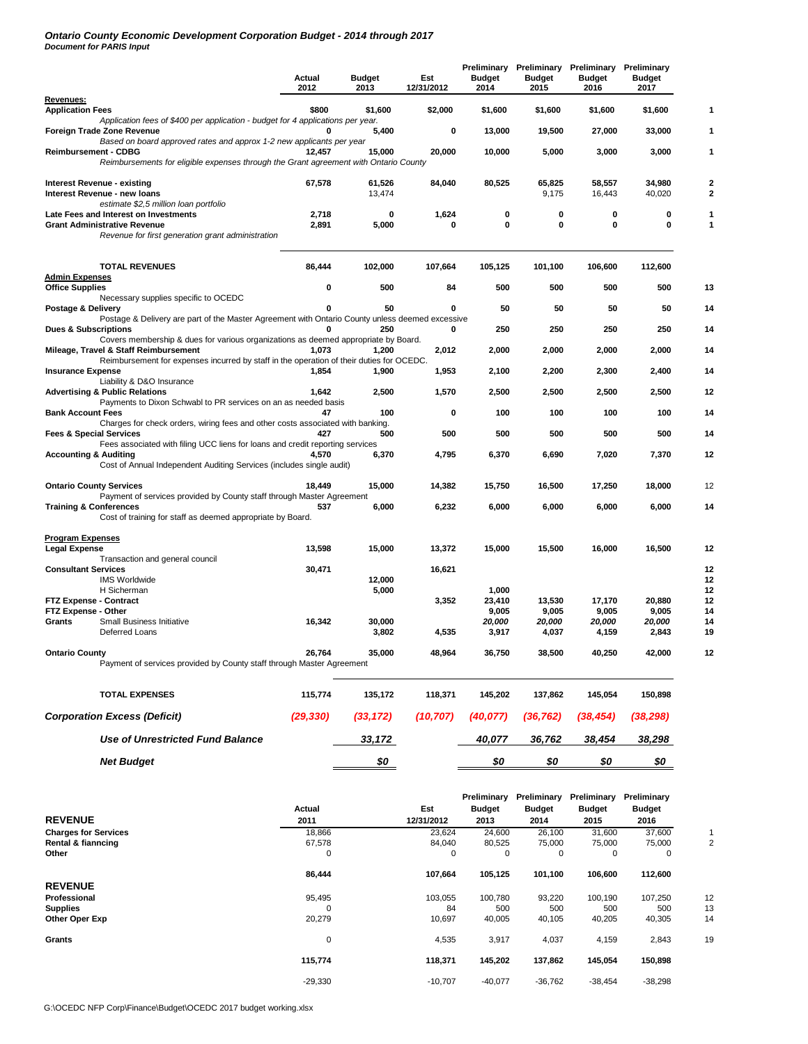## *Ontario County Economic Development Corporation Budget - 2014 through 2017 Document for PARIS Input*

|                                                                                                                       | Actual<br>2012 | <b>Budget</b><br>2013 | Est<br>12/31/2012 | <b>Budget</b><br>2014 | <b>Budget</b><br>2015 | Preliminary Preliminary Preliminary Preliminary<br><b>Budget</b><br>2016 | <b>Budget</b><br>2017 |
|-----------------------------------------------------------------------------------------------------------------------|----------------|-----------------------|-------------------|-----------------------|-----------------------|--------------------------------------------------------------------------|-----------------------|
| Revenues:                                                                                                             |                |                       |                   |                       |                       |                                                                          |                       |
| <b>Application Fees</b><br>Application fees of \$400 per application - budget for 4 applications per year.            | \$800          | \$1,600               | \$2,000           | \$1,600               | \$1,600               | \$1,600                                                                  | \$1,600               |
| Foreign Trade Zone Revenue<br>Based on board approved rates and approx 1-2 new applicants per year                    |                | 5,400                 | 0                 | 13,000                | 19,500                | 27,000                                                                   | 33,000                |
| <b>Reimbursement - CDBG</b>                                                                                           | 12,457         | 15,000                | 20,000            | 10,000                | 5,000                 | 3,000                                                                    | 3,000                 |
| Reimbursements for eligible expenses through the Grant agreement with Ontario County                                  |                |                       |                   |                       |                       |                                                                          |                       |
| <b>Interest Revenue - existing</b><br>Interest Revenue - new loans<br>estimate \$2,5 million loan portfolio           | 67,578         | 61,526<br>13,474      | 84,040            | 80,525                | 65,825<br>9,175       | 58,557<br>16,443                                                         | 34,980<br>40,020      |
| Late Fees and Interest on Investments                                                                                 | 2,718          | 0                     | 1,624             | 0                     | 0                     | 0                                                                        | 0                     |
| <b>Grant Administrative Revenue</b><br>Revenue for first generation grant administration                              | 2,891          | 5,000                 | 0                 | 0                     | 0                     | 0                                                                        | 0                     |
| <b>TOTAL REVENUES</b>                                                                                                 | 86,444         | 102,000               | 107,664           | 105,125               | 101,100               | 106,600                                                                  | 112,600               |
| Admin Expenses<br><b>Office Supplies</b>                                                                              | 0              | 500                   | 84                | 500                   | 500                   | 500                                                                      | 500                   |
| Necessary supplies specific to OCEDC                                                                                  |                |                       |                   |                       |                       |                                                                          |                       |
| Postage & Delivery                                                                                                    | 0              | 50                    | 0                 | 50                    | 50                    | 50                                                                       | 50                    |
| Postage & Delivery are part of the Master Agreement with Ontario County unless deemed excessive                       |                |                       |                   |                       |                       |                                                                          |                       |
| <b>Dues &amp; Subscriptions</b><br>Covers membership & dues for various organizations as deemed appropriate by Board. | 0              | 250                   | 0                 | 250                   | 250                   | 250                                                                      | 250                   |
| Mileage, Travel & Staff Reimbursement                                                                                 | 1,073          | 1,200                 | 2,012             | 2,000                 | 2,000                 | 2,000                                                                    | 2,000                 |
| Reimbursement for expenses incurred by staff in the operation of their duties for OCEDC.<br><b>Insurance Expense</b>  | 1,854          | 1,900                 | 1,953             | 2,100                 | 2,200                 | 2,300                                                                    | 2,400                 |
| Liability & D&O Insurance<br><b>Advertising &amp; Public Relations</b>                                                | 1,642          | 2,500                 | 1,570             | 2,500                 | 2,500                 | 2,500                                                                    | 2,500                 |
| Payments to Dixon Schwabl to PR services on an as needed basis                                                        |                |                       |                   |                       |                       |                                                                          |                       |
| <b>Bank Account Fees</b>                                                                                              | 47             | 100                   | $\mathbf 0$       | 100                   | 100                   | 100                                                                      | 100                   |
| Charges for check orders, wiring fees and other costs associated with banking.<br><b>Fees &amp; Special Services</b>  | 427            | 500                   | 500               | 500                   | 500                   | 500                                                                      | 500                   |
| Fees associated with filing UCC liens for loans and credit reporting services<br><b>Accounting &amp; Auditing</b>     | 4.570          | 6,370                 | 4,795             | 6,370                 | 6,690                 | 7,020                                                                    | 7,370                 |
| Cost of Annual Independent Auditing Services (includes single audit)                                                  |                |                       |                   |                       |                       |                                                                          |                       |
| <b>Ontario County Services</b>                                                                                        | 18,449         | 15,000                | 14,382            | 15,750                | 16,500                | 17,250                                                                   | 18,000                |
| Payment of services provided by County staff through Master Agreement<br><b>Training &amp; Conferences</b>            | 537            | 6,000                 | 6,232             | 6,000                 | 6,000                 | 6,000                                                                    | 6,000                 |
| Cost of training for staff as deemed appropriate by Board.                                                            |                |                       |                   |                       |                       |                                                                          |                       |
| Program Expenses                                                                                                      |                |                       |                   |                       |                       |                                                                          |                       |
| <b>Legal Expense</b>                                                                                                  | 13,598         | 15,000                | 13,372            | 15,000                | 15,500                | 16,000                                                                   | 16,500                |
| Transaction and general council<br><b>Consultant Services</b>                                                         | 30,471         |                       | 16,621            |                       |                       |                                                                          |                       |
| <b>IMS Worldwide</b>                                                                                                  |                | 12,000                |                   |                       |                       |                                                                          |                       |
| H Sicherman                                                                                                           |                | 5,000                 |                   | 1,000                 |                       |                                                                          |                       |
| <b>FTZ Expense - Contract</b>                                                                                         |                |                       | 3,352             | 23,410                | 13,530                | 17,170                                                                   | 20,880                |
| FTZ Expense - Other                                                                                                   |                |                       |                   | 9,005                 | 9,005                 | 9,005                                                                    | 9,005                 |
| Grants<br><b>Small Business Initiative</b><br>Deferred Loans                                                          | 16,342         | 30,000<br>3,802       |                   | 20,000                | 20,000                | 20,000                                                                   | 20,000                |
|                                                                                                                       |                |                       | 4,535             | 3,917                 | 4,037                 | 4,159                                                                    | 2,843                 |
| <b>Ontario County</b><br>Payment of services provided by County staff through Master Agreement                        | 26,764         | 35,000                | 48,964            | 36,750                | 38,500                | 40,250                                                                   | 42,000                |
| <b>TOTAL EXPENSES</b>                                                                                                 | 115,774        | 135,172               | 118,371           | 145,202               | 137,862               | 145,054                                                                  | 150,898               |
| <b>Corporation Excess (Deficit)</b>                                                                                   | (29, 330)      | (33, 172)             | (10, 707)         | (40,077)              | (36, 762)             | (38, 454)                                                                | (38, 298)             |
| <b>Use of Unrestricted Fund Balance</b>                                                                               |                | 33,172                |                   | 40,077                | 36,762                | 38,454                                                                   | 38,298                |
| Net Budget                                                                                                            |                | \$0                   |                   | \$0                   | \$0                   | \$0                                                                      | \$0                   |

| <b>REVENUE</b>              | Actual<br>2011 | Est<br>12/31/2012 | Preliminary<br><b>Budget</b><br>2013 | Preliminary<br><b>Budget</b><br>2014 | Preliminary<br><b>Budget</b><br>2015 | Preliminary<br><b>Budget</b><br>2016 |                |
|-----------------------------|----------------|-------------------|--------------------------------------|--------------------------------------|--------------------------------------|--------------------------------------|----------------|
| <b>Charges for Services</b> | 18,866         | 23,624            | 24,600                               | 26,100                               | 31,600                               | 37,600                               |                |
| Rental & fianncing          | 67,578         | 84,040            | 80,525                               | 75,000                               | 75,000                               | 75,000                               | $\overline{c}$ |
| Other                       | 0              | 0                 | 0                                    | 0                                    | 0                                    | 0                                    |                |
|                             | 86,444         | 107,664           | 105,125                              | 101,100                              | 106,600                              | 112,600                              |                |
| <b>REVENUE</b>              |                |                   |                                      |                                      |                                      |                                      |                |
| Professional                | 95,495         | 103,055           | 100,780                              | 93,220                               | 100,190                              | 107,250                              | 12             |
| <b>Supplies</b>             | 0              | 84                | 500                                  | 500                                  | 500                                  | 500                                  | 13             |
| Other Oper Exp              | 20,279         | 10,697            | 40,005                               | 40,105                               | 40,205                               | 40,305                               | 14             |
| Grants                      | 0              | 4,535             | 3,917                                | 4,037                                | 4,159                                | 2,843                                | 19             |
|                             | 115,774        | 118,371           | 145,202                              | 137,862                              | 145,054                              | 150,898                              |                |
|                             | $-29,330$      | $-10,707$         | $-40,077$                            | $-36,762$                            | $-38,454$                            | $-38,298$                            |                |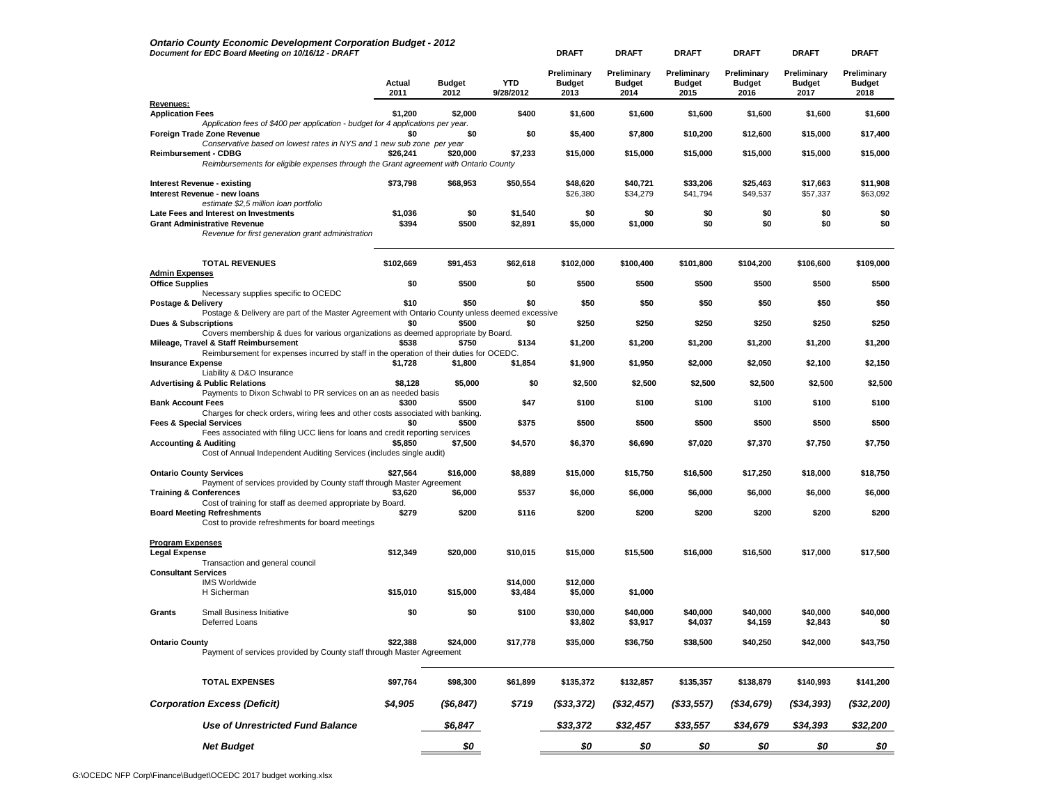|                                                 | <b>Ontario County Economic Development Corporation Budget - 2012</b><br>Document for EDC Board Meeting on 10/16/12 - DRAFT                                                            |                |                       |                         | <b>DRAFT</b>                         | <b>DRAFT</b>                         | <b>DRAFT</b>                         | <b>DRAFT</b>                         | <b>DRAFT</b>                         | <b>DRAFT</b>                         |
|-------------------------------------------------|---------------------------------------------------------------------------------------------------------------------------------------------------------------------------------------|----------------|-----------------------|-------------------------|--------------------------------------|--------------------------------------|--------------------------------------|--------------------------------------|--------------------------------------|--------------------------------------|
|                                                 |                                                                                                                                                                                       | Actual<br>2011 | <b>Budget</b><br>2012 | <b>YTD</b><br>9/28/2012 | Preliminary<br><b>Budget</b><br>2013 | Preliminary<br><b>Budget</b><br>2014 | Preliminary<br><b>Budget</b><br>2015 | Preliminary<br><b>Budget</b><br>2016 | Preliminary<br><b>Budget</b><br>2017 | Preliminary<br><b>Budget</b><br>2018 |
| Revenues:<br><b>Application Fees</b>            |                                                                                                                                                                                       | \$1,200        | \$2,000               | \$400                   | \$1,600                              | \$1,600                              | \$1,600                              | \$1,600                              | \$1,600                              | \$1,600                              |
|                                                 | Application fees of \$400 per application - budget for 4 applications per year.<br>Foreign Trade Zone Revenue                                                                         | \$0            | \$0                   | \$0                     | \$5,400                              | \$7,800                              | \$10,200                             | \$12,600                             | \$15,000                             | \$17,400                             |
|                                                 | Conservative based on lowest rates in NYS and 1 new sub zone per year<br>Reimbursement - CDBG<br>Reimbursements for eligible expenses through the Grant agreement with Ontario County | \$26,241       | \$20,000              | \$7,233                 | \$15,000                             | \$15,000                             | \$15,000                             | \$15,000                             | \$15,000                             | \$15,000                             |
|                                                 | <b>Interest Revenue - existing</b><br>Interest Revenue - new loans                                                                                                                    | \$73,798       | \$68,953              | \$50,554                | \$48,620<br>\$26,380                 | \$40,721<br>\$34,279                 | \$33,206<br>\$41,794                 | \$25,463<br>\$49,537                 | \$17,663<br>\$57,337                 | \$11,908<br>\$63,092                 |
|                                                 | estimate \$2,5 million loan portfolio<br>Late Fees and Interest on Investments                                                                                                        | \$1,036        | \$0                   | \$1,540                 | \$0                                  | \$0                                  | \$0                                  | \$0                                  | \$0                                  | \$0                                  |
|                                                 | <b>Grant Administrative Revenue</b><br>Revenue for first generation grant administration                                                                                              | \$394          | \$500                 | \$2,891                 | \$5,000                              | \$1,000                              | \$0                                  | \$0                                  | \$0                                  | \$0                                  |
|                                                 | <b>TOTAL REVENUES</b>                                                                                                                                                                 | \$102,669      | \$91,453              | \$62,618                | \$102,000                            | \$100,400                            | \$101,800                            | \$104,200                            | \$106,600                            | \$109,000                            |
| <b>Admin Expenses</b><br><b>Office Supplies</b> |                                                                                                                                                                                       | \$0            | \$500                 | \$0                     | \$500                                | \$500                                | \$500                                | \$500                                | \$500                                | \$500                                |
| Postage & Delivery                              | Necessary supplies specific to OCEDC                                                                                                                                                  | \$10           | \$50                  | \$0                     | \$50                                 | \$50                                 | \$50                                 | \$50                                 | \$50                                 | \$50                                 |
|                                                 | Postage & Delivery are part of the Master Agreement with Ontario County unless deemed excessive                                                                                       |                |                       |                         |                                      |                                      |                                      |                                      |                                      |                                      |
| <b>Dues &amp; Subscriptions</b>                 | Covers membership & dues for various organizations as deemed appropriate by Board.                                                                                                    | \$0            | \$500                 | \$0                     | \$250                                | \$250                                | \$250                                | \$250                                | \$250                                | \$250                                |
|                                                 | Mileage, Travel & Staff Reimbursement<br>Reimbursement for expenses incurred by staff in the operation of their duties for OCEDC.                                                     | \$538          | \$750                 | \$134                   | \$1,200                              | \$1,200                              | \$1,200                              | \$1,200                              | \$1,200                              | \$1,200                              |
| <b>Insurance Expense</b>                        | Liability & D&O Insurance                                                                                                                                                             | \$1,728        | \$1,800               | \$1,854                 | \$1,900                              | \$1,950                              | \$2,000                              | \$2,050                              | \$2,100                              | \$2,150                              |
|                                                 | <b>Advertising &amp; Public Relations</b><br>Payments to Dixon Schwabl to PR services on an as needed basis                                                                           | \$8,128        | \$5,000               | \$0                     | \$2,500                              | \$2,500                              | \$2,500                              | \$2,500                              | \$2,500                              | \$2,500                              |
| <b>Bank Account Fees</b>                        |                                                                                                                                                                                       | \$300          | \$500                 | \$47                    | \$100                                | \$100                                | \$100                                | \$100                                | \$100                                | \$100                                |
| <b>Fees &amp; Special Services</b>              | Charges for check orders, wiring fees and other costs associated with banking.                                                                                                        | \$0            | \$500                 | \$375                   | \$500                                | \$500                                | \$500                                | \$500                                | \$500                                | \$500                                |
| <b>Accounting &amp; Auditing</b>                | Fees associated with filing UCC liens for loans and credit reporting services<br>Cost of Annual Independent Auditing Services (includes single audit)                                 | \$5,850        | \$7,500               | \$4,570                 | \$6,370                              | \$6,690                              | \$7,020                              | \$7,370                              | \$7,750                              | \$7,750                              |
|                                                 | <b>Ontario County Services</b>                                                                                                                                                        | \$27,564       | \$16,000              | \$8,889                 | \$15,000                             | \$15,750                             | \$16,500                             | \$17,250                             | \$18,000                             | \$18,750                             |
| <b>Training &amp; Conferences</b>               | Payment of services provided by County staff through Master Agreement                                                                                                                 | \$3,620        | \$6,000               | \$537                   | \$6,000                              | \$6,000                              | \$6,000                              | \$6,000                              | \$6,000                              | \$6,000                              |
|                                                 | Cost of training for staff as deemed appropriate by Board.<br><b>Board Meeting Refreshments</b><br>Cost to provide refreshments for board meetings                                    | \$279          | \$200                 | \$116                   | \$200                                | \$200                                | \$200                                | \$200                                | \$200                                | \$200                                |
| <b>Program Expenses</b>                         |                                                                                                                                                                                       |                |                       |                         |                                      |                                      |                                      |                                      |                                      |                                      |
| <b>Legal Expense</b>                            | Transaction and general council                                                                                                                                                       | \$12,349       | \$20,000              | \$10,015                | \$15,000                             | \$15,500                             | \$16,000                             | \$16,500                             | \$17,000                             | \$17,500                             |
| <b>Consultant Services</b>                      | <b>IMS Worldwide</b><br>H Sicherman                                                                                                                                                   | \$15,010       | \$15,000              | \$14,000<br>\$3,484     | \$12,000<br>\$5,000                  | \$1,000                              |                                      |                                      |                                      |                                      |
| Grants                                          | <b>Small Business Initiative</b><br>Deferred Loans                                                                                                                                    | \$0            | \$0                   | \$100                   | \$30,000<br>\$3,802                  | \$40,000<br>\$3,917                  | \$40,000<br>\$4,037                  | \$40,000<br>\$4,159                  | \$40,000<br>\$2,843                  | \$40,000<br>\$0                      |
| <b>Ontario County</b>                           | Payment of services provided by County staff through Master Agreement                                                                                                                 | \$22,388       | \$24,000              | \$17,778                | \$35,000                             | \$36,750                             | \$38,500                             | \$40,250                             | \$42,000                             | \$43,750                             |
|                                                 | <b>TOTAL EXPENSES</b>                                                                                                                                                                 | \$97,764       | \$98,300              | \$61,899                | \$135,372                            | \$132,857                            | \$135,357                            | \$138,879                            | \$140,993                            | \$141,200                            |
|                                                 | <b>Corporation Excess (Deficit)</b>                                                                                                                                                   | \$4,905        | $($ \$6,847)          | \$719                   | $($ \$33,372)                        | $($ \$32,457)                        | $($ \$33,557)                        | ( \$34, 679)                         | $($ \$34,393)                        | (\$32,200)                           |
|                                                 | Use of Unrestricted Fund Balance                                                                                                                                                      |                | \$6,847               |                         | \$33,372                             | \$32,457                             | \$33,557                             | \$34,679                             | \$34,393                             | \$32,200                             |
|                                                 | <b>Net Budget</b>                                                                                                                                                                     |                | \$0                   |                         | \$0                                  | \$0                                  | \$0                                  | \$0                                  | \$0                                  | \$0                                  |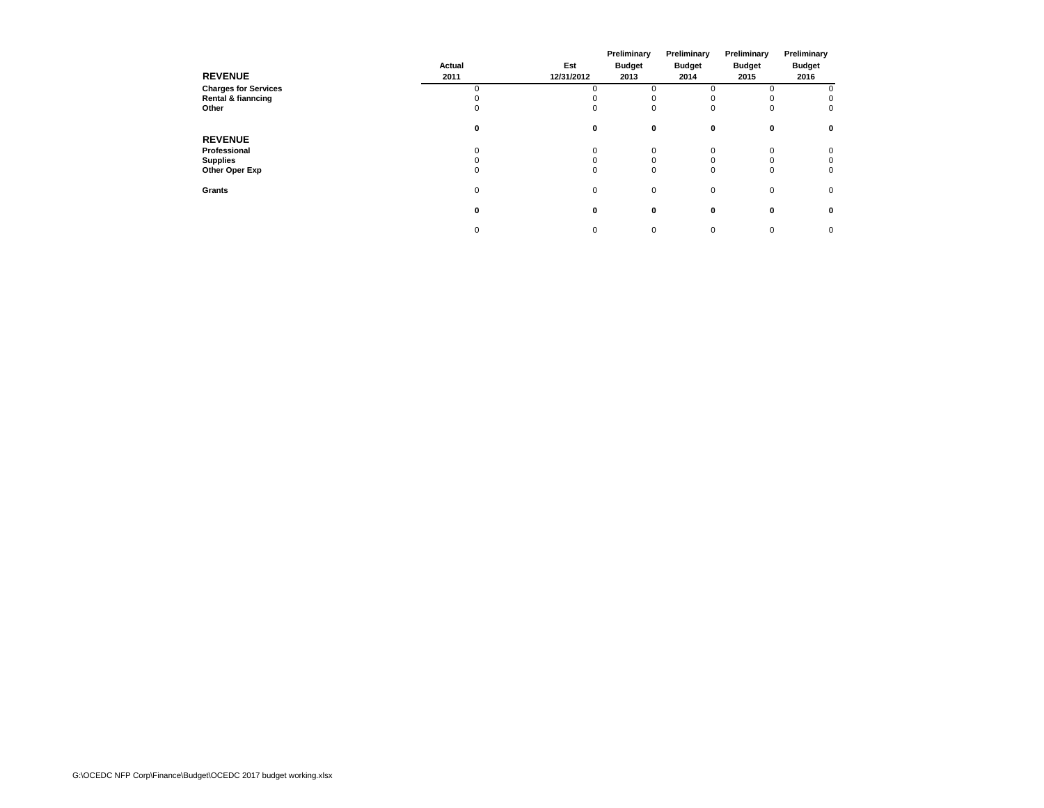|                             |          |            | Preliminary   | Preliminary   | Preliminary   | Preliminary   |  |
|-----------------------------|----------|------------|---------------|---------------|---------------|---------------|--|
|                             | Actual   | Est        | <b>Budget</b> | <b>Budget</b> | <b>Budget</b> | <b>Budget</b> |  |
| <b>REVENUE</b>              | 2011     | 12/31/2012 | 2013          | 2014          | 2015          | 2016          |  |
| <b>Charges for Services</b> | $\Omega$ |            |               |               | $\Omega$      |               |  |
| Rental & fianncing          |          |            |               |               | <sup>o</sup>  | $\mathbf 0$   |  |
| Other                       | 0        | 0          | 0             |               | 0             | 0             |  |
|                             | 0        | 0          | 0             | $\mathbf{0}$  | 0             | $\mathbf 0$   |  |
| <b>REVENUE</b>              |          |            |               |               |               |               |  |
| Professional                | 0        | 0          | 0             |               | 0             | $\mathbf 0$   |  |
| <b>Supplies</b>             |          |            | 0             |               | 0             | $\mathbf 0$   |  |
| Other Oper Exp              | 0        | 0          | 0             | $\Omega$      | 0             | $\mathbf 0$   |  |
| Grants                      | 0        | 0          | $\mathbf 0$   | 0             | $\mathbf 0$   | 0             |  |
|                             | 0        | 0          | 0             | 0             | $\mathbf 0$   | $\mathbf 0$   |  |
|                             | 0        | 0          | 0             | 0             | 0             | $\mathbf 0$   |  |
|                             |          |            |               |               |               |               |  |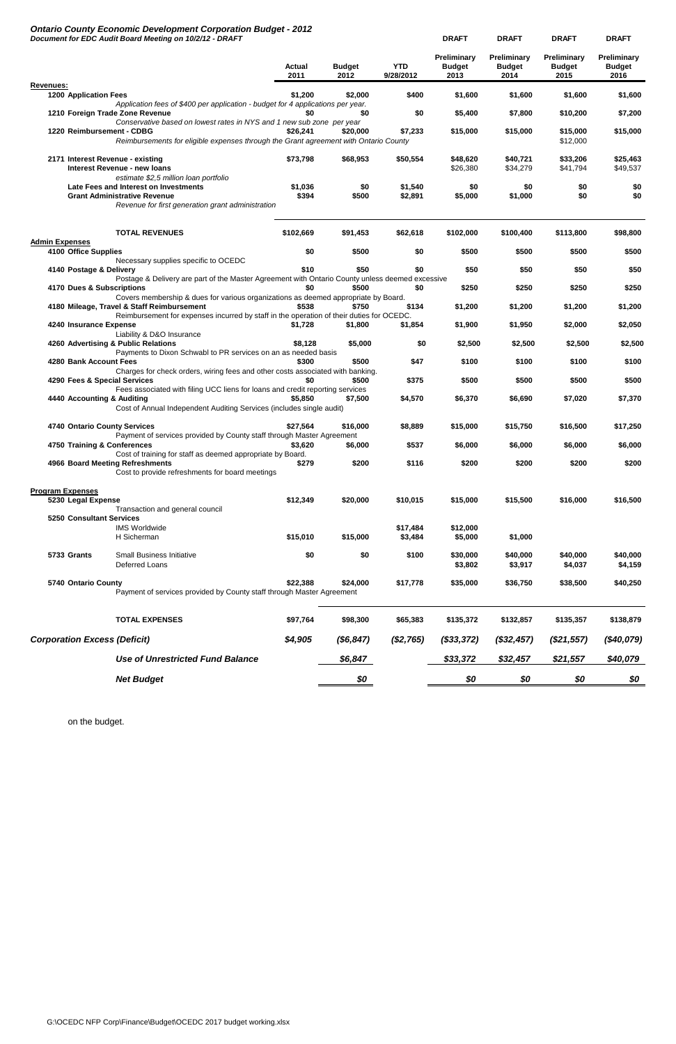# *Ontario County Economic Development Corporation Budget - 2012*

| Preliminary<br>Preliminary<br>Preliminary<br>Preliminary<br><b>YTD</b><br><b>Budget</b><br>Actual<br><b>Budget</b><br><b>Budget</b><br><b>Budget</b><br><b>Budget</b><br>9/28/2012<br>2013<br>2014<br>2016<br>2011<br>2012<br>2015<br>Revenues:<br><b>1200 Application Fees</b><br>\$1.200<br>\$400<br>\$1,600<br>\$1,600<br>\$1,600<br>\$2,000<br>\$1,600<br>Application fees of \$400 per application - budget for 4 applications per year.<br>1210 Foreign Trade Zone Revenue<br>\$0<br>\$0<br>\$0<br>\$5,400<br>\$7,800<br>\$7,200<br>\$10,200<br>Conservative based on lowest rates in NYS and 1 new sub zone per year<br>1220 Reimbursement - CDBG<br>\$7,233<br>\$26,241<br>\$20,000<br>\$15,000<br>\$15,000<br>\$15,000<br>\$15,000<br>Reimbursements for eligible expenses through the Grant agreement with Ontario County<br>\$12,000<br>\$25,463<br>2171 Interest Revenue - existing<br>\$73,798<br>\$68,953<br>\$50,554<br>\$48,620<br>\$40,721<br>\$33,206<br><b>Interest Revenue - new loans</b><br>\$26,380<br>\$34,279<br>\$41,794<br>\$49,537<br>estimate \$2,5 million loan portfolio<br>\$1,540<br>Late Fees and Interest on Investments<br>\$1,036<br>\$0<br>\$0<br>\$0<br>\$0<br>\$0<br>\$394<br>\$0<br>\$0<br><b>Grant Administrative Revenue</b><br>\$500<br>\$2,891<br>\$5,000<br>\$1,000<br>Revenue for first generation grant administration<br><b>TOTAL REVENUES</b><br>\$102,669<br>\$91,453<br>\$62,618<br>\$102,000<br>\$100,400<br>\$113,800<br>\$98,800<br><b>Admin Expenses</b><br>4100 Office Supplies<br>\$0<br>\$500<br>\$500<br>\$500<br>\$500<br>\$500<br>\$0<br>Necessary supplies specific to OCEDC<br>\$10<br>\$50<br>\$50<br>\$50<br>4140 Postage & Delivery<br>\$0<br>\$50<br>\$50<br>Postage & Delivery are part of the Master Agreement with Ontario County unless deemed excessive<br>\$500<br>\$0<br>\$250<br>\$250<br>\$250<br>\$250<br>4170 Dues & Subscriptions<br>\$0<br>Covers membership & dues for various organizations as deemed appropriate by Board.<br>4180 Mileage, Travel & Staff Reimbursement<br>\$538<br>\$750<br>\$134<br>\$1,200<br>\$1,200<br>\$1,200<br>\$1,200<br>Reimbursement for expenses incurred by staff in the operation of their duties for OCEDC.<br>4240 Insurance Expense<br>\$1,800<br>\$1,854<br>\$1,900<br>\$1,950<br>\$2,000<br>\$2,050<br>\$1,728<br>Liability & D&O Insurance<br>4260 Advertising & Public Relations<br>\$8,128<br>\$5,000<br>\$0<br>\$2,500<br>\$2,500<br>\$2,500<br>\$2,500<br>Payments to Dixon Schwabl to PR services on an as needed basis<br>\$300<br>\$500<br>\$47<br>\$100<br>4280 Bank Account Fees<br>\$100<br>\$100<br>\$100<br>Charges for check orders, wiring fees and other costs associated with banking.<br>4290 Fees & Special Services<br>\$0<br>\$500<br>\$375<br>\$500<br>\$500<br>\$500<br>\$500<br>Fees associated with filing UCC liens for loans and credit reporting services<br>\$5.850<br>\$7,500<br>\$4,570<br>\$6,370<br>\$6,690<br>\$7,020<br>\$7,370<br>4440 Accounting & Auditing<br>Cost of Annual Independent Auditing Services (includes single audit)<br>\$8,889<br>\$17,250<br>4740 Ontario County Services<br>\$27,564<br>\$16,000<br>\$15,000<br>\$15,750<br>\$16,500<br>Payment of services provided by County staff through Master Agreement<br>4750 Training & Conferences<br>\$3,620<br>\$6,000<br>\$537<br>\$6,000<br>\$6,000<br>\$6,000<br>\$6,000<br>Cost of training for staff as deemed appropriate by Board.<br>\$279<br>\$116<br>\$200<br>\$200<br>\$200<br>4966 Board Meeting Refreshments<br>\$200<br>\$200<br>Cost to provide refreshments for board meetings<br><b>Program Expenses</b><br>5230 Legal Expense<br>\$12,349<br>\$16,500<br>\$20,000<br>\$10,015<br>\$15,000<br>\$15,500<br>\$16,000<br>Transaction and general council<br><b>5250 Consultant Services</b><br><b>IMS Worldwide</b><br>\$17,484<br>\$12,000<br>\$15,010<br>\$15,000<br>H Sicherman<br>\$3,484<br>\$5,000<br>\$1,000<br>\$0<br>\$30,000<br>5733 Grants<br><b>Small Business Initiative</b><br>\$0<br>\$100<br>\$40,000<br>\$40,000<br>\$40,000<br>Deferred Loans<br>\$3,917<br>\$4,037<br>\$4,159<br>\$3,802<br>\$22,388<br>\$35,000<br>\$40,250<br>5740 Ontario County<br>\$24,000<br>\$17,778<br>\$36,750<br>\$38,500<br>Payment of services provided by County staff through Master Agreement<br><b>TOTAL EXPENSES</b><br>\$97,764<br>\$98,300<br>\$65,383<br>\$135,372<br>\$132,857<br>\$135,357<br>\$138,879<br>\$4,905<br>(\$6, 847)<br><b>Corporation Excess (Deficit)</b><br>(\$2,765)<br>(\$32,457)<br>(\$40,079)<br>$($ \$33,372)<br>$(\$21,557)$<br><b>Use of Unrestricted Fund Balance</b><br>\$6,847<br>\$33,372<br>\$32,457<br>\$40,079<br>\$21,557<br><b>Net Budget</b><br>\$0<br>\$0<br>\$0<br>\$0<br>\$0 | Document for EDC Audit Board Meeting on 10/2/12 - DRAFT |  | <b>DRAFT</b> | <b>DRAFT</b> | <b>DRAFT</b> | <b>DRAFT</b> |
|-------------------------------------------------------------------------------------------------------------------------------------------------------------------------------------------------------------------------------------------------------------------------------------------------------------------------------------------------------------------------------------------------------------------------------------------------------------------------------------------------------------------------------------------------------------------------------------------------------------------------------------------------------------------------------------------------------------------------------------------------------------------------------------------------------------------------------------------------------------------------------------------------------------------------------------------------------------------------------------------------------------------------------------------------------------------------------------------------------------------------------------------------------------------------------------------------------------------------------------------------------------------------------------------------------------------------------------------------------------------------------------------------------------------------------------------------------------------------------------------------------------------------------------------------------------------------------------------------------------------------------------------------------------------------------------------------------------------------------------------------------------------------------------------------------------------------------------------------------------------------------------------------------------------------------------------------------------------------------------------------------------------------------------------------------------------------------------------------------------------------------------------------------------------------------------------------------------------------------------------------------------------------------------------------------------------------------------------------------------------------------------------------------------------------------------------------------------------------------------------------------------------------------------------------------------------------------------------------------------------------------------------------------------------------------------------------------------------------------------------------------------------------------------------------------------------------------------------------------------------------------------------------------------------------------------------------------------------------------------------------------------------------------------------------------------------------------------------------------------------------------------------------------------------------------------------------------------------------------------------------------------------------------------------------------------------------------------------------------------------------------------------------------------------------------------------------------------------------------------------------------------------------------------------------------------------------------------------------------------------------------------------------------------------------------------------------------------------------------------------------------------------------------------------------------------------------------------------------------------------------------------------------------------------------------------------------------------------------------------------------------------------------------------------------------------------------------------------------------------------------------------------------------------------------------------------------------------------------------------------------------------------------------------------------------------------------------------------------------------------------------------------------------------------------------------------------------------------------------------------------------------------------------------------------------------------------------------------------------------------------------------------------------------------------------------------------------------------------------------------------------------------|---------------------------------------------------------|--|--------------|--------------|--------------|--------------|
|                                                                                                                                                                                                                                                                                                                                                                                                                                                                                                                                                                                                                                                                                                                                                                                                                                                                                                                                                                                                                                                                                                                                                                                                                                                                                                                                                                                                                                                                                                                                                                                                                                                                                                                                                                                                                                                                                                                                                                                                                                                                                                                                                                                                                                                                                                                                                                                                                                                                                                                                                                                                                                                                                                                                                                                                                                                                                                                                                                                                                                                                                                                                                                                                                                                                                                                                                                                                                                                                                                                                                                                                                                                                                                                                                                                                                                                                                                                                                                                                                                                                                                                                                                                                                                                                                                                                                                                                                                                                                                                                                                                                                                                                                                                                                                   |                                                         |  |              |              |              |              |
|                                                                                                                                                                                                                                                                                                                                                                                                                                                                                                                                                                                                                                                                                                                                                                                                                                                                                                                                                                                                                                                                                                                                                                                                                                                                                                                                                                                                                                                                                                                                                                                                                                                                                                                                                                                                                                                                                                                                                                                                                                                                                                                                                                                                                                                                                                                                                                                                                                                                                                                                                                                                                                                                                                                                                                                                                                                                                                                                                                                                                                                                                                                                                                                                                                                                                                                                                                                                                                                                                                                                                                                                                                                                                                                                                                                                                                                                                                                                                                                                                                                                                                                                                                                                                                                                                                                                                                                                                                                                                                                                                                                                                                                                                                                                                                   |                                                         |  |              |              |              |              |
|                                                                                                                                                                                                                                                                                                                                                                                                                                                                                                                                                                                                                                                                                                                                                                                                                                                                                                                                                                                                                                                                                                                                                                                                                                                                                                                                                                                                                                                                                                                                                                                                                                                                                                                                                                                                                                                                                                                                                                                                                                                                                                                                                                                                                                                                                                                                                                                                                                                                                                                                                                                                                                                                                                                                                                                                                                                                                                                                                                                                                                                                                                                                                                                                                                                                                                                                                                                                                                                                                                                                                                                                                                                                                                                                                                                                                                                                                                                                                                                                                                                                                                                                                                                                                                                                                                                                                                                                                                                                                                                                                                                                                                                                                                                                                                   |                                                         |  |              |              |              |              |
|                                                                                                                                                                                                                                                                                                                                                                                                                                                                                                                                                                                                                                                                                                                                                                                                                                                                                                                                                                                                                                                                                                                                                                                                                                                                                                                                                                                                                                                                                                                                                                                                                                                                                                                                                                                                                                                                                                                                                                                                                                                                                                                                                                                                                                                                                                                                                                                                                                                                                                                                                                                                                                                                                                                                                                                                                                                                                                                                                                                                                                                                                                                                                                                                                                                                                                                                                                                                                                                                                                                                                                                                                                                                                                                                                                                                                                                                                                                                                                                                                                                                                                                                                                                                                                                                                                                                                                                                                                                                                                                                                                                                                                                                                                                                                                   |                                                         |  |              |              |              |              |
|                                                                                                                                                                                                                                                                                                                                                                                                                                                                                                                                                                                                                                                                                                                                                                                                                                                                                                                                                                                                                                                                                                                                                                                                                                                                                                                                                                                                                                                                                                                                                                                                                                                                                                                                                                                                                                                                                                                                                                                                                                                                                                                                                                                                                                                                                                                                                                                                                                                                                                                                                                                                                                                                                                                                                                                                                                                                                                                                                                                                                                                                                                                                                                                                                                                                                                                                                                                                                                                                                                                                                                                                                                                                                                                                                                                                                                                                                                                                                                                                                                                                                                                                                                                                                                                                                                                                                                                                                                                                                                                                                                                                                                                                                                                                                                   |                                                         |  |              |              |              |              |
|                                                                                                                                                                                                                                                                                                                                                                                                                                                                                                                                                                                                                                                                                                                                                                                                                                                                                                                                                                                                                                                                                                                                                                                                                                                                                                                                                                                                                                                                                                                                                                                                                                                                                                                                                                                                                                                                                                                                                                                                                                                                                                                                                                                                                                                                                                                                                                                                                                                                                                                                                                                                                                                                                                                                                                                                                                                                                                                                                                                                                                                                                                                                                                                                                                                                                                                                                                                                                                                                                                                                                                                                                                                                                                                                                                                                                                                                                                                                                                                                                                                                                                                                                                                                                                                                                                                                                                                                                                                                                                                                                                                                                                                                                                                                                                   |                                                         |  |              |              |              |              |
|                                                                                                                                                                                                                                                                                                                                                                                                                                                                                                                                                                                                                                                                                                                                                                                                                                                                                                                                                                                                                                                                                                                                                                                                                                                                                                                                                                                                                                                                                                                                                                                                                                                                                                                                                                                                                                                                                                                                                                                                                                                                                                                                                                                                                                                                                                                                                                                                                                                                                                                                                                                                                                                                                                                                                                                                                                                                                                                                                                                                                                                                                                                                                                                                                                                                                                                                                                                                                                                                                                                                                                                                                                                                                                                                                                                                                                                                                                                                                                                                                                                                                                                                                                                                                                                                                                                                                                                                                                                                                                                                                                                                                                                                                                                                                                   |                                                         |  |              |              |              |              |
|                                                                                                                                                                                                                                                                                                                                                                                                                                                                                                                                                                                                                                                                                                                                                                                                                                                                                                                                                                                                                                                                                                                                                                                                                                                                                                                                                                                                                                                                                                                                                                                                                                                                                                                                                                                                                                                                                                                                                                                                                                                                                                                                                                                                                                                                                                                                                                                                                                                                                                                                                                                                                                                                                                                                                                                                                                                                                                                                                                                                                                                                                                                                                                                                                                                                                                                                                                                                                                                                                                                                                                                                                                                                                                                                                                                                                                                                                                                                                                                                                                                                                                                                                                                                                                                                                                                                                                                                                                                                                                                                                                                                                                                                                                                                                                   |                                                         |  |              |              |              |              |
|                                                                                                                                                                                                                                                                                                                                                                                                                                                                                                                                                                                                                                                                                                                                                                                                                                                                                                                                                                                                                                                                                                                                                                                                                                                                                                                                                                                                                                                                                                                                                                                                                                                                                                                                                                                                                                                                                                                                                                                                                                                                                                                                                                                                                                                                                                                                                                                                                                                                                                                                                                                                                                                                                                                                                                                                                                                                                                                                                                                                                                                                                                                                                                                                                                                                                                                                                                                                                                                                                                                                                                                                                                                                                                                                                                                                                                                                                                                                                                                                                                                                                                                                                                                                                                                                                                                                                                                                                                                                                                                                                                                                                                                                                                                                                                   |                                                         |  |              |              |              |              |
|                                                                                                                                                                                                                                                                                                                                                                                                                                                                                                                                                                                                                                                                                                                                                                                                                                                                                                                                                                                                                                                                                                                                                                                                                                                                                                                                                                                                                                                                                                                                                                                                                                                                                                                                                                                                                                                                                                                                                                                                                                                                                                                                                                                                                                                                                                                                                                                                                                                                                                                                                                                                                                                                                                                                                                                                                                                                                                                                                                                                                                                                                                                                                                                                                                                                                                                                                                                                                                                                                                                                                                                                                                                                                                                                                                                                                                                                                                                                                                                                                                                                                                                                                                                                                                                                                                                                                                                                                                                                                                                                                                                                                                                                                                                                                                   |                                                         |  |              |              |              |              |
|                                                                                                                                                                                                                                                                                                                                                                                                                                                                                                                                                                                                                                                                                                                                                                                                                                                                                                                                                                                                                                                                                                                                                                                                                                                                                                                                                                                                                                                                                                                                                                                                                                                                                                                                                                                                                                                                                                                                                                                                                                                                                                                                                                                                                                                                                                                                                                                                                                                                                                                                                                                                                                                                                                                                                                                                                                                                                                                                                                                                                                                                                                                                                                                                                                                                                                                                                                                                                                                                                                                                                                                                                                                                                                                                                                                                                                                                                                                                                                                                                                                                                                                                                                                                                                                                                                                                                                                                                                                                                                                                                                                                                                                                                                                                                                   |                                                         |  |              |              |              |              |
|                                                                                                                                                                                                                                                                                                                                                                                                                                                                                                                                                                                                                                                                                                                                                                                                                                                                                                                                                                                                                                                                                                                                                                                                                                                                                                                                                                                                                                                                                                                                                                                                                                                                                                                                                                                                                                                                                                                                                                                                                                                                                                                                                                                                                                                                                                                                                                                                                                                                                                                                                                                                                                                                                                                                                                                                                                                                                                                                                                                                                                                                                                                                                                                                                                                                                                                                                                                                                                                                                                                                                                                                                                                                                                                                                                                                                                                                                                                                                                                                                                                                                                                                                                                                                                                                                                                                                                                                                                                                                                                                                                                                                                                                                                                                                                   |                                                         |  |              |              |              |              |
|                                                                                                                                                                                                                                                                                                                                                                                                                                                                                                                                                                                                                                                                                                                                                                                                                                                                                                                                                                                                                                                                                                                                                                                                                                                                                                                                                                                                                                                                                                                                                                                                                                                                                                                                                                                                                                                                                                                                                                                                                                                                                                                                                                                                                                                                                                                                                                                                                                                                                                                                                                                                                                                                                                                                                                                                                                                                                                                                                                                                                                                                                                                                                                                                                                                                                                                                                                                                                                                                                                                                                                                                                                                                                                                                                                                                                                                                                                                                                                                                                                                                                                                                                                                                                                                                                                                                                                                                                                                                                                                                                                                                                                                                                                                                                                   |                                                         |  |              |              |              |              |
|                                                                                                                                                                                                                                                                                                                                                                                                                                                                                                                                                                                                                                                                                                                                                                                                                                                                                                                                                                                                                                                                                                                                                                                                                                                                                                                                                                                                                                                                                                                                                                                                                                                                                                                                                                                                                                                                                                                                                                                                                                                                                                                                                                                                                                                                                                                                                                                                                                                                                                                                                                                                                                                                                                                                                                                                                                                                                                                                                                                                                                                                                                                                                                                                                                                                                                                                                                                                                                                                                                                                                                                                                                                                                                                                                                                                                                                                                                                                                                                                                                                                                                                                                                                                                                                                                                                                                                                                                                                                                                                                                                                                                                                                                                                                                                   |                                                         |  |              |              |              |              |
|                                                                                                                                                                                                                                                                                                                                                                                                                                                                                                                                                                                                                                                                                                                                                                                                                                                                                                                                                                                                                                                                                                                                                                                                                                                                                                                                                                                                                                                                                                                                                                                                                                                                                                                                                                                                                                                                                                                                                                                                                                                                                                                                                                                                                                                                                                                                                                                                                                                                                                                                                                                                                                                                                                                                                                                                                                                                                                                                                                                                                                                                                                                                                                                                                                                                                                                                                                                                                                                                                                                                                                                                                                                                                                                                                                                                                                                                                                                                                                                                                                                                                                                                                                                                                                                                                                                                                                                                                                                                                                                                                                                                                                                                                                                                                                   |                                                         |  |              |              |              |              |
|                                                                                                                                                                                                                                                                                                                                                                                                                                                                                                                                                                                                                                                                                                                                                                                                                                                                                                                                                                                                                                                                                                                                                                                                                                                                                                                                                                                                                                                                                                                                                                                                                                                                                                                                                                                                                                                                                                                                                                                                                                                                                                                                                                                                                                                                                                                                                                                                                                                                                                                                                                                                                                                                                                                                                                                                                                                                                                                                                                                                                                                                                                                                                                                                                                                                                                                                                                                                                                                                                                                                                                                                                                                                                                                                                                                                                                                                                                                                                                                                                                                                                                                                                                                                                                                                                                                                                                                                                                                                                                                                                                                                                                                                                                                                                                   |                                                         |  |              |              |              |              |
|                                                                                                                                                                                                                                                                                                                                                                                                                                                                                                                                                                                                                                                                                                                                                                                                                                                                                                                                                                                                                                                                                                                                                                                                                                                                                                                                                                                                                                                                                                                                                                                                                                                                                                                                                                                                                                                                                                                                                                                                                                                                                                                                                                                                                                                                                                                                                                                                                                                                                                                                                                                                                                                                                                                                                                                                                                                                                                                                                                                                                                                                                                                                                                                                                                                                                                                                                                                                                                                                                                                                                                                                                                                                                                                                                                                                                                                                                                                                                                                                                                                                                                                                                                                                                                                                                                                                                                                                                                                                                                                                                                                                                                                                                                                                                                   |                                                         |  |              |              |              |              |
|                                                                                                                                                                                                                                                                                                                                                                                                                                                                                                                                                                                                                                                                                                                                                                                                                                                                                                                                                                                                                                                                                                                                                                                                                                                                                                                                                                                                                                                                                                                                                                                                                                                                                                                                                                                                                                                                                                                                                                                                                                                                                                                                                                                                                                                                                                                                                                                                                                                                                                                                                                                                                                                                                                                                                                                                                                                                                                                                                                                                                                                                                                                                                                                                                                                                                                                                                                                                                                                                                                                                                                                                                                                                                                                                                                                                                                                                                                                                                                                                                                                                                                                                                                                                                                                                                                                                                                                                                                                                                                                                                                                                                                                                                                                                                                   |                                                         |  |              |              |              |              |
|                                                                                                                                                                                                                                                                                                                                                                                                                                                                                                                                                                                                                                                                                                                                                                                                                                                                                                                                                                                                                                                                                                                                                                                                                                                                                                                                                                                                                                                                                                                                                                                                                                                                                                                                                                                                                                                                                                                                                                                                                                                                                                                                                                                                                                                                                                                                                                                                                                                                                                                                                                                                                                                                                                                                                                                                                                                                                                                                                                                                                                                                                                                                                                                                                                                                                                                                                                                                                                                                                                                                                                                                                                                                                                                                                                                                                                                                                                                                                                                                                                                                                                                                                                                                                                                                                                                                                                                                                                                                                                                                                                                                                                                                                                                                                                   |                                                         |  |              |              |              |              |
|                                                                                                                                                                                                                                                                                                                                                                                                                                                                                                                                                                                                                                                                                                                                                                                                                                                                                                                                                                                                                                                                                                                                                                                                                                                                                                                                                                                                                                                                                                                                                                                                                                                                                                                                                                                                                                                                                                                                                                                                                                                                                                                                                                                                                                                                                                                                                                                                                                                                                                                                                                                                                                                                                                                                                                                                                                                                                                                                                                                                                                                                                                                                                                                                                                                                                                                                                                                                                                                                                                                                                                                                                                                                                                                                                                                                                                                                                                                                                                                                                                                                                                                                                                                                                                                                                                                                                                                                                                                                                                                                                                                                                                                                                                                                                                   |                                                         |  |              |              |              |              |
|                                                                                                                                                                                                                                                                                                                                                                                                                                                                                                                                                                                                                                                                                                                                                                                                                                                                                                                                                                                                                                                                                                                                                                                                                                                                                                                                                                                                                                                                                                                                                                                                                                                                                                                                                                                                                                                                                                                                                                                                                                                                                                                                                                                                                                                                                                                                                                                                                                                                                                                                                                                                                                                                                                                                                                                                                                                                                                                                                                                                                                                                                                                                                                                                                                                                                                                                                                                                                                                                                                                                                                                                                                                                                                                                                                                                                                                                                                                                                                                                                                                                                                                                                                                                                                                                                                                                                                                                                                                                                                                                                                                                                                                                                                                                                                   |                                                         |  |              |              |              |              |
|                                                                                                                                                                                                                                                                                                                                                                                                                                                                                                                                                                                                                                                                                                                                                                                                                                                                                                                                                                                                                                                                                                                                                                                                                                                                                                                                                                                                                                                                                                                                                                                                                                                                                                                                                                                                                                                                                                                                                                                                                                                                                                                                                                                                                                                                                                                                                                                                                                                                                                                                                                                                                                                                                                                                                                                                                                                                                                                                                                                                                                                                                                                                                                                                                                                                                                                                                                                                                                                                                                                                                                                                                                                                                                                                                                                                                                                                                                                                                                                                                                                                                                                                                                                                                                                                                                                                                                                                                                                                                                                                                                                                                                                                                                                                                                   |                                                         |  |              |              |              |              |
|                                                                                                                                                                                                                                                                                                                                                                                                                                                                                                                                                                                                                                                                                                                                                                                                                                                                                                                                                                                                                                                                                                                                                                                                                                                                                                                                                                                                                                                                                                                                                                                                                                                                                                                                                                                                                                                                                                                                                                                                                                                                                                                                                                                                                                                                                                                                                                                                                                                                                                                                                                                                                                                                                                                                                                                                                                                                                                                                                                                                                                                                                                                                                                                                                                                                                                                                                                                                                                                                                                                                                                                                                                                                                                                                                                                                                                                                                                                                                                                                                                                                                                                                                                                                                                                                                                                                                                                                                                                                                                                                                                                                                                                                                                                                                                   |                                                         |  |              |              |              |              |
|                                                                                                                                                                                                                                                                                                                                                                                                                                                                                                                                                                                                                                                                                                                                                                                                                                                                                                                                                                                                                                                                                                                                                                                                                                                                                                                                                                                                                                                                                                                                                                                                                                                                                                                                                                                                                                                                                                                                                                                                                                                                                                                                                                                                                                                                                                                                                                                                                                                                                                                                                                                                                                                                                                                                                                                                                                                                                                                                                                                                                                                                                                                                                                                                                                                                                                                                                                                                                                                                                                                                                                                                                                                                                                                                                                                                                                                                                                                                                                                                                                                                                                                                                                                                                                                                                                                                                                                                                                                                                                                                                                                                                                                                                                                                                                   |                                                         |  |              |              |              |              |
|                                                                                                                                                                                                                                                                                                                                                                                                                                                                                                                                                                                                                                                                                                                                                                                                                                                                                                                                                                                                                                                                                                                                                                                                                                                                                                                                                                                                                                                                                                                                                                                                                                                                                                                                                                                                                                                                                                                                                                                                                                                                                                                                                                                                                                                                                                                                                                                                                                                                                                                                                                                                                                                                                                                                                                                                                                                                                                                                                                                                                                                                                                                                                                                                                                                                                                                                                                                                                                                                                                                                                                                                                                                                                                                                                                                                                                                                                                                                                                                                                                                                                                                                                                                                                                                                                                                                                                                                                                                                                                                                                                                                                                                                                                                                                                   |                                                         |  |              |              |              |              |
|                                                                                                                                                                                                                                                                                                                                                                                                                                                                                                                                                                                                                                                                                                                                                                                                                                                                                                                                                                                                                                                                                                                                                                                                                                                                                                                                                                                                                                                                                                                                                                                                                                                                                                                                                                                                                                                                                                                                                                                                                                                                                                                                                                                                                                                                                                                                                                                                                                                                                                                                                                                                                                                                                                                                                                                                                                                                                                                                                                                                                                                                                                                                                                                                                                                                                                                                                                                                                                                                                                                                                                                                                                                                                                                                                                                                                                                                                                                                                                                                                                                                                                                                                                                                                                                                                                                                                                                                                                                                                                                                                                                                                                                                                                                                                                   |                                                         |  |              |              |              |              |
|                                                                                                                                                                                                                                                                                                                                                                                                                                                                                                                                                                                                                                                                                                                                                                                                                                                                                                                                                                                                                                                                                                                                                                                                                                                                                                                                                                                                                                                                                                                                                                                                                                                                                                                                                                                                                                                                                                                                                                                                                                                                                                                                                                                                                                                                                                                                                                                                                                                                                                                                                                                                                                                                                                                                                                                                                                                                                                                                                                                                                                                                                                                                                                                                                                                                                                                                                                                                                                                                                                                                                                                                                                                                                                                                                                                                                                                                                                                                                                                                                                                                                                                                                                                                                                                                                                                                                                                                                                                                                                                                                                                                                                                                                                                                                                   |                                                         |  |              |              |              |              |
|                                                                                                                                                                                                                                                                                                                                                                                                                                                                                                                                                                                                                                                                                                                                                                                                                                                                                                                                                                                                                                                                                                                                                                                                                                                                                                                                                                                                                                                                                                                                                                                                                                                                                                                                                                                                                                                                                                                                                                                                                                                                                                                                                                                                                                                                                                                                                                                                                                                                                                                                                                                                                                                                                                                                                                                                                                                                                                                                                                                                                                                                                                                                                                                                                                                                                                                                                                                                                                                                                                                                                                                                                                                                                                                                                                                                                                                                                                                                                                                                                                                                                                                                                                                                                                                                                                                                                                                                                                                                                                                                                                                                                                                                                                                                                                   |                                                         |  |              |              |              |              |
|                                                                                                                                                                                                                                                                                                                                                                                                                                                                                                                                                                                                                                                                                                                                                                                                                                                                                                                                                                                                                                                                                                                                                                                                                                                                                                                                                                                                                                                                                                                                                                                                                                                                                                                                                                                                                                                                                                                                                                                                                                                                                                                                                                                                                                                                                                                                                                                                                                                                                                                                                                                                                                                                                                                                                                                                                                                                                                                                                                                                                                                                                                                                                                                                                                                                                                                                                                                                                                                                                                                                                                                                                                                                                                                                                                                                                                                                                                                                                                                                                                                                                                                                                                                                                                                                                                                                                                                                                                                                                                                                                                                                                                                                                                                                                                   |                                                         |  |              |              |              |              |
|                                                                                                                                                                                                                                                                                                                                                                                                                                                                                                                                                                                                                                                                                                                                                                                                                                                                                                                                                                                                                                                                                                                                                                                                                                                                                                                                                                                                                                                                                                                                                                                                                                                                                                                                                                                                                                                                                                                                                                                                                                                                                                                                                                                                                                                                                                                                                                                                                                                                                                                                                                                                                                                                                                                                                                                                                                                                                                                                                                                                                                                                                                                                                                                                                                                                                                                                                                                                                                                                                                                                                                                                                                                                                                                                                                                                                                                                                                                                                                                                                                                                                                                                                                                                                                                                                                                                                                                                                                                                                                                                                                                                                                                                                                                                                                   |                                                         |  |              |              |              |              |
|                                                                                                                                                                                                                                                                                                                                                                                                                                                                                                                                                                                                                                                                                                                                                                                                                                                                                                                                                                                                                                                                                                                                                                                                                                                                                                                                                                                                                                                                                                                                                                                                                                                                                                                                                                                                                                                                                                                                                                                                                                                                                                                                                                                                                                                                                                                                                                                                                                                                                                                                                                                                                                                                                                                                                                                                                                                                                                                                                                                                                                                                                                                                                                                                                                                                                                                                                                                                                                                                                                                                                                                                                                                                                                                                                                                                                                                                                                                                                                                                                                                                                                                                                                                                                                                                                                                                                                                                                                                                                                                                                                                                                                                                                                                                                                   |                                                         |  |              |              |              |              |
|                                                                                                                                                                                                                                                                                                                                                                                                                                                                                                                                                                                                                                                                                                                                                                                                                                                                                                                                                                                                                                                                                                                                                                                                                                                                                                                                                                                                                                                                                                                                                                                                                                                                                                                                                                                                                                                                                                                                                                                                                                                                                                                                                                                                                                                                                                                                                                                                                                                                                                                                                                                                                                                                                                                                                                                                                                                                                                                                                                                                                                                                                                                                                                                                                                                                                                                                                                                                                                                                                                                                                                                                                                                                                                                                                                                                                                                                                                                                                                                                                                                                                                                                                                                                                                                                                                                                                                                                                                                                                                                                                                                                                                                                                                                                                                   |                                                         |  |              |              |              |              |
|                                                                                                                                                                                                                                                                                                                                                                                                                                                                                                                                                                                                                                                                                                                                                                                                                                                                                                                                                                                                                                                                                                                                                                                                                                                                                                                                                                                                                                                                                                                                                                                                                                                                                                                                                                                                                                                                                                                                                                                                                                                                                                                                                                                                                                                                                                                                                                                                                                                                                                                                                                                                                                                                                                                                                                                                                                                                                                                                                                                                                                                                                                                                                                                                                                                                                                                                                                                                                                                                                                                                                                                                                                                                                                                                                                                                                                                                                                                                                                                                                                                                                                                                                                                                                                                                                                                                                                                                                                                                                                                                                                                                                                                                                                                                                                   |                                                         |  |              |              |              |              |
|                                                                                                                                                                                                                                                                                                                                                                                                                                                                                                                                                                                                                                                                                                                                                                                                                                                                                                                                                                                                                                                                                                                                                                                                                                                                                                                                                                                                                                                                                                                                                                                                                                                                                                                                                                                                                                                                                                                                                                                                                                                                                                                                                                                                                                                                                                                                                                                                                                                                                                                                                                                                                                                                                                                                                                                                                                                                                                                                                                                                                                                                                                                                                                                                                                                                                                                                                                                                                                                                                                                                                                                                                                                                                                                                                                                                                                                                                                                                                                                                                                                                                                                                                                                                                                                                                                                                                                                                                                                                                                                                                                                                                                                                                                                                                                   |                                                         |  |              |              |              |              |
|                                                                                                                                                                                                                                                                                                                                                                                                                                                                                                                                                                                                                                                                                                                                                                                                                                                                                                                                                                                                                                                                                                                                                                                                                                                                                                                                                                                                                                                                                                                                                                                                                                                                                                                                                                                                                                                                                                                                                                                                                                                                                                                                                                                                                                                                                                                                                                                                                                                                                                                                                                                                                                                                                                                                                                                                                                                                                                                                                                                                                                                                                                                                                                                                                                                                                                                                                                                                                                                                                                                                                                                                                                                                                                                                                                                                                                                                                                                                                                                                                                                                                                                                                                                                                                                                                                                                                                                                                                                                                                                                                                                                                                                                                                                                                                   |                                                         |  |              |              |              |              |
|                                                                                                                                                                                                                                                                                                                                                                                                                                                                                                                                                                                                                                                                                                                                                                                                                                                                                                                                                                                                                                                                                                                                                                                                                                                                                                                                                                                                                                                                                                                                                                                                                                                                                                                                                                                                                                                                                                                                                                                                                                                                                                                                                                                                                                                                                                                                                                                                                                                                                                                                                                                                                                                                                                                                                                                                                                                                                                                                                                                                                                                                                                                                                                                                                                                                                                                                                                                                                                                                                                                                                                                                                                                                                                                                                                                                                                                                                                                                                                                                                                                                                                                                                                                                                                                                                                                                                                                                                                                                                                                                                                                                                                                                                                                                                                   |                                                         |  |              |              |              |              |

G:\OCEDC NFP Corp\Finance\Budget\OCEDC 2017 budget working.xlsx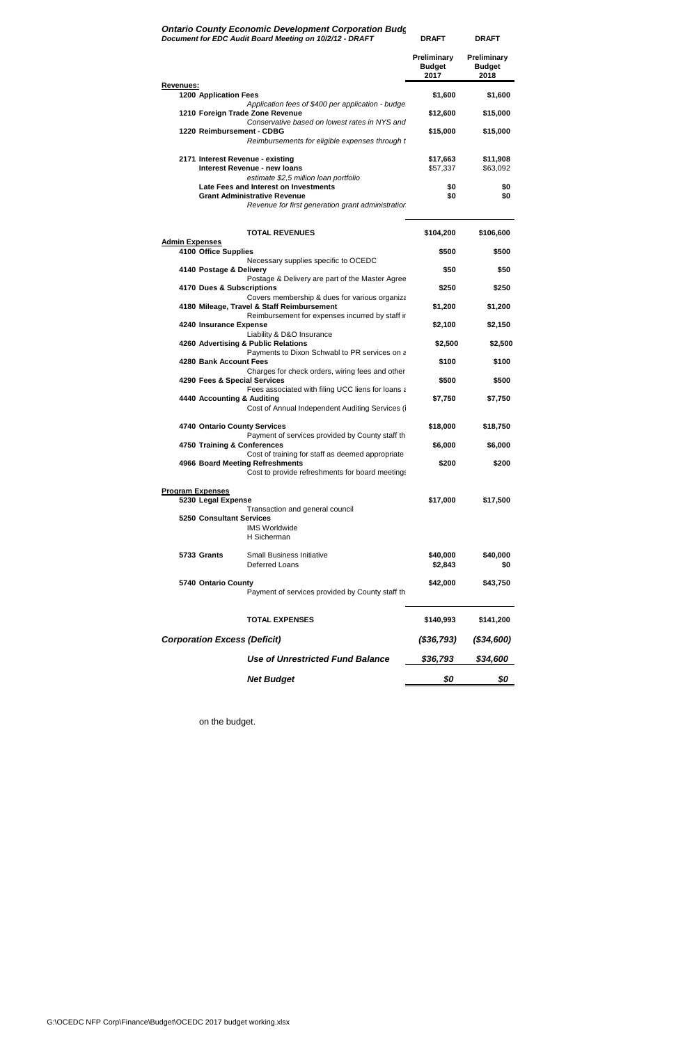#### **Ontario County Economic Development Corporation Budg** *Document for EDC Audit Board Meeting on 10/2/12 - DRAFT*

|                                                                              |                                                                                                 | <b>Preliminary</b><br><b>Budget</b><br>2017 | <b>Preliminary</b><br><b>Budget</b><br>2018 |
|------------------------------------------------------------------------------|-------------------------------------------------------------------------------------------------|---------------------------------------------|---------------------------------------------|
| <b>Revenues:</b><br><b>1200 Application Fees</b>                             |                                                                                                 | \$1,600                                     | \$1,600                                     |
| 1210 Foreign Trade Zone Revenue                                              | Application fees of \$400 per application - budge                                               | \$12,600                                    | \$15,000                                    |
| 1220 Reimbursement - CDBG                                                    | Conservative based on lowest rates in NYS and<br>Reimbursements for eligible expenses through t | \$15,000                                    | \$15,000                                    |
| 2171 Interest Revenue - existing<br>Interest Revenue - new loans             |                                                                                                 | \$17,663<br>\$57,337                        | \$11,908<br>\$63,092                        |
| Late Fees and Interest on Investments<br><b>Grant Administrative Revenue</b> | estimate \$2,5 million loan portfolio<br>Revenue for first generation grant administratior      | \$0<br>\$0                                  | \$0<br>\$0                                  |
|                                                                              | <b>TOTAL REVENUES</b>                                                                           | \$104,200                                   | \$106,600                                   |
| <b>Admin Expenses</b><br>4100 Office Supplies                                |                                                                                                 | \$500                                       | \$500                                       |
| 4140 Postage & Delivery                                                      | Necessary supplies specific to OCEDC                                                            | \$50                                        | \$50                                        |
| 4170 Dues & Subscriptions                                                    | Postage & Delivery are part of the Master Agree                                                 | \$250                                       | \$250                                       |
| 4180 Mileage, Travel & Staff Reimbursement                                   | Covers membership & dues for various organiza                                                   | \$1,200                                     | \$1,200                                     |
| 4240 Insurance Expense                                                       | Reimbursement for expenses incurred by staff ir<br>Liability & D&O Insurance                    | \$2,100                                     | \$2,150                                     |
| 4260 Advertising & Public Relations                                          | Payments to Dixon Schwabl to PR services on a                                                   | \$2,500                                     | \$2,500                                     |
| 4280 Bank Account Fees                                                       | Charges for check orders, wiring fees and other                                                 | \$100                                       | \$100                                       |
| 4290 Fees & Special Services                                                 | Fees associated with filing UCC liens for loans a                                               | \$500                                       | \$500                                       |
| 4440 Accounting & Auditing                                                   | Cost of Annual Independent Auditing Services (i                                                 | \$7,750                                     | \$7,750                                     |
| 4740 Ontario County Services                                                 | Payment of services provided by County staff th                                                 | \$18,000                                    | \$18,750                                    |
| 4750 Training & Conferences                                                  | Cost of training for staff as deemed appropriate                                                | \$6,000                                     | \$6,000                                     |
| 4966 Board Meeting Refreshments                                              | Cost to provide refreshments for board meetings                                                 | \$200                                       | \$200                                       |
| <b>Program Expenses</b><br>5230 Legal Expense                                |                                                                                                 | \$17,000                                    | \$17,500                                    |
| <b>5250 Consultant Services</b>                                              | Transaction and general council<br><b>IMS Worldwide</b><br>H Sicherman                          |                                             |                                             |
| 5733 Grants                                                                  | Small Business Initiative<br>Deferred Loans                                                     | \$40,000<br>\$2,843                         | \$40,000<br>\$0                             |
| 5740 Ontario County                                                          | Payment of services provided by County staff th                                                 | \$42,000                                    | \$43,750                                    |
|                                                                              | <b>TOTAL EXPENSES</b>                                                                           | \$140,993                                   | \$141,200                                   |
| <b>Corporation Excess (Deficit)</b>                                          |                                                                                                 | (\$36,793)                                  | ( \$34, 600)                                |
|                                                                              | <b>Use of Unrestricted Fund Balance</b>                                                         | \$36,793                                    | \$34,600                                    |
|                                                                              | <b>Net Budget</b>                                                                               | \$0                                         | \$0                                         |

**DRAFT DRAFT**

G:\OCEDC NFP Corp\Finance\Budget\OCEDC 2017 budget working.xlsx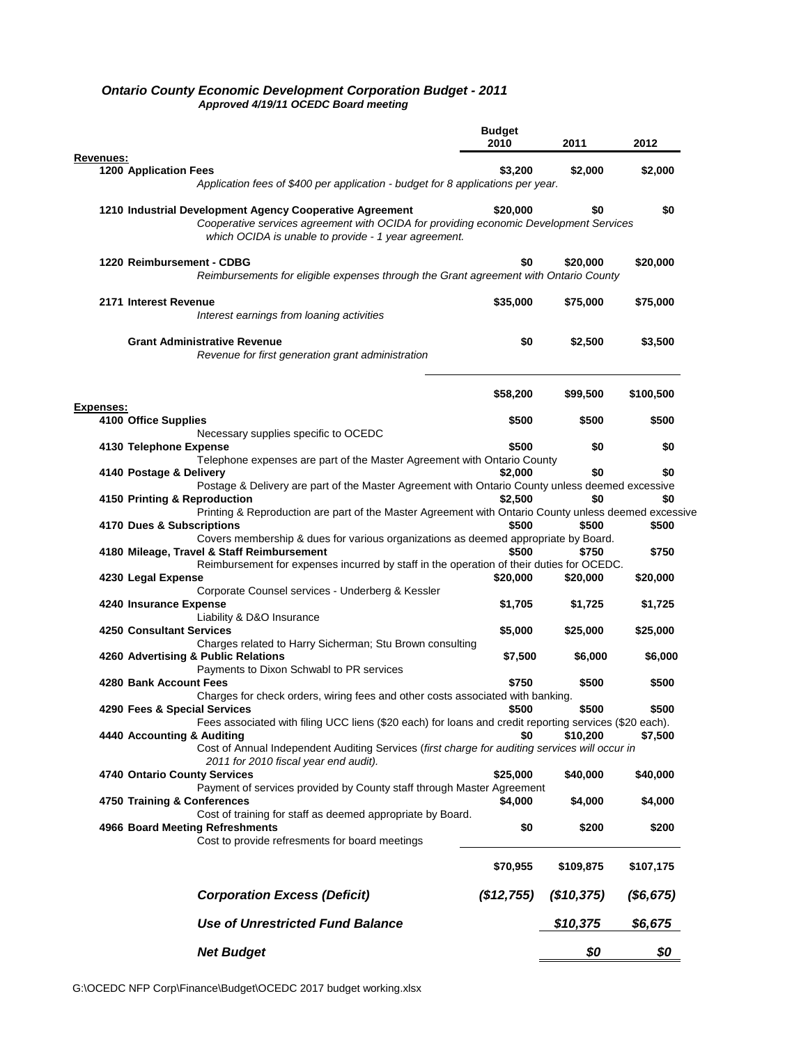|                                                                                                                                                                                                                              | <b>Budget</b><br>2010 | 2011       | 2012       |
|------------------------------------------------------------------------------------------------------------------------------------------------------------------------------------------------------------------------------|-----------------------|------------|------------|
| Revenues:<br><b>1200 Application Fees</b>                                                                                                                                                                                    | \$3,200               | \$2.000    | \$2,000    |
| Application fees of \$400 per application - budget for 8 applications per year.                                                                                                                                              |                       |            |            |
| 1210 Industrial Development Agency Cooperative Agreement<br>Cooperative services agreement with OCIDA for providing economic Development Services<br>which OCIDA is unable to provide - 1 year agreement.                    | \$20,000              | \$0        | \$0        |
| 1220 Reimbursement - CDBG<br>Reimbursements for eligible expenses through the Grant agreement with Ontario County                                                                                                            | \$0                   | \$20.000   | \$20,000   |
| 2171 Interest Revenue<br>Interest earnings from loaning activities                                                                                                                                                           | \$35,000              | \$75,000   | \$75,000   |
| <b>Grant Administrative Revenue</b><br>Revenue for first generation grant administration                                                                                                                                     | \$0                   | \$2,500    | \$3,500    |
|                                                                                                                                                                                                                              | \$58,200              | \$99.500   | \$100,500  |
| <b>Expenses:</b><br>4100 Office Supplies                                                                                                                                                                                     | \$500                 | \$500      | \$500      |
| Necessary supplies specific to OCEDC                                                                                                                                                                                         |                       |            |            |
| 4130 Telephone Expense                                                                                                                                                                                                       | \$500                 | \$0        | \$0        |
| Telephone expenses are part of the Master Agreement with Ontario County                                                                                                                                                      |                       |            |            |
| 4140 Postage & Delivery                                                                                                                                                                                                      | \$2,000               | \$0        | \$0        |
| Postage & Delivery are part of the Master Agreement with Ontario County unless deemed excessive<br>4150 Printing & Reproduction                                                                                              | \$2,500               | \$0        | \$0        |
| Printing & Reproduction are part of the Master Agreement with Ontario County unless deemed excessive<br>4170 Dues & Subscriptions                                                                                            | \$500                 | \$500      | \$500      |
| Covers membership & dues for various organizations as deemed appropriate by Board.<br>4180 Mileage, Travel & Staff Reimbursement<br>Reimbursement for expenses incurred by staff in the operation of their duties for OCEDC. | \$500                 | \$750      | \$750      |
| 4230 Legal Expense                                                                                                                                                                                                           | \$20,000              | \$20,000   | \$20,000   |
| Corporate Counsel services - Underberg & Kessler                                                                                                                                                                             |                       |            |            |
| 4240 Insurance Expense                                                                                                                                                                                                       | \$1,705               | \$1,725    | \$1,725    |
| Liability & D&O Insurance<br><b>4250 Consultant Services</b>                                                                                                                                                                 | \$5,000               | \$25,000   | \$25,000   |
| Charges related to Harry Sicherman; Stu Brown consulting                                                                                                                                                                     |                       |            |            |
| 4260 Advertising & Public Relations<br>Payments to Dixon Schwabl to PR services                                                                                                                                              | \$7,500               | \$6,000    | \$6,000    |
| 4280 Bank Account Fees                                                                                                                                                                                                       | \$750                 | \$500      | \$500      |
| Charges for check orders, wiring fees and other costs associated with banking.                                                                                                                                               |                       |            |            |
| 4290 Fees & Special Services                                                                                                                                                                                                 | \$500                 | \$500      | \$500      |
| Fees associated with filing UCC liens (\$20 each) for loans and credit reporting services (\$20 each).<br>4440 Accounting & Auditing                                                                                         | \$0                   | \$10,200   | \$7,500    |
| Cost of Annual Independent Auditing Services (first charge for auditing services will occur in<br>2011 for 2010 fiscal year end audit).                                                                                      |                       |            |            |
| 4740 Ontario County Services                                                                                                                                                                                                 | \$25,000              | \$40,000   | \$40,000   |
| Payment of services provided by County staff through Master Agreement                                                                                                                                                        |                       |            |            |
| 4750 Training & Conferences<br>Cost of training for staff as deemed appropriate by Board.                                                                                                                                    | \$4,000               | \$4,000    | \$4,000    |
| 4966 Board Meeting Refreshments<br>Cost to provide refresments for board meetings                                                                                                                                            | \$0                   | \$200      | \$200      |
|                                                                                                                                                                                                                              | \$70,955              | \$109,875  | \$107,175  |
| <b>Corporation Excess (Deficit)</b>                                                                                                                                                                                          | (\$12,755)            | (\$10,375) | ( \$6,675) |
| <b>Use of Unrestricted Fund Balance</b>                                                                                                                                                                                      |                       | \$10,375   | \$6,675    |
| <b>Net Budget</b>                                                                                                                                                                                                            |                       | \$0        | \$0        |

#### *Ontario County Economic Development Corporation Budget - 2011 Approved 4/19/11 OCEDC Board meeting*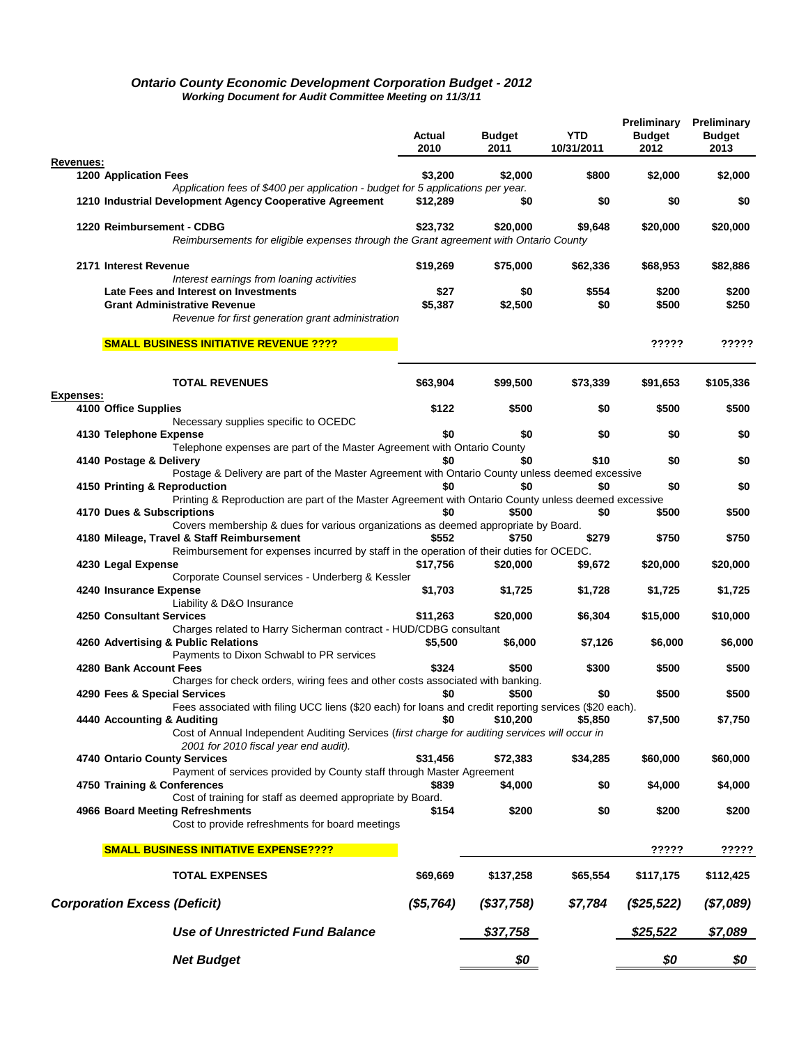#### *Ontario County Economic Development Corporation Budget - 2012 Working Document for Audit Committee Meeting on 11/3/11*

|                                                                                                                                         | Actual<br>2010 | <b>Budget</b><br>2011 | YTD<br>10/31/2011 | Budget<br>2012 | <b>Preliminary Preliminary</b><br><b>Budget</b><br>2013 |
|-----------------------------------------------------------------------------------------------------------------------------------------|----------------|-----------------------|-------------------|----------------|---------------------------------------------------------|
| Revenues:<br><b>1200 Application Fees</b>                                                                                               | \$3,200        | \$2,000               | \$800             | \$2,000        | \$2,000                                                 |
| Application fees of \$400 per application - budget for 5 applications per year.                                                         |                |                       |                   |                |                                                         |
| 1210 Industrial Development Agency Cooperative Agreement                                                                                | \$12,289       | \$0                   | \$0               | \$0            | \$0                                                     |
| 1220 Reimbursement - CDBG<br>Reimbursements for eligible expenses through the Grant agreement with Ontario County                       | \$23,732       | \$20,000              | \$9,648           | \$20,000       | \$20,000                                                |
|                                                                                                                                         |                |                       |                   |                |                                                         |
| 2171 Interest Revenue<br>Interest earnings from loaning activities                                                                      | \$19,269       | \$75,000              | \$62,336          | \$68,953       | \$82,886                                                |
| Late Fees and Interest on Investments                                                                                                   | \$27           | \$0                   | \$554             | \$200          | \$200                                                   |
| <b>Grant Administrative Revenue</b>                                                                                                     | \$5,387        | \$2,500               | \$0               | \$500          | \$250                                                   |
| Revenue for first generation grant administration                                                                                       |                |                       |                   |                |                                                         |
| <b>SMALL BUSINESS INITIATIVE REVENUE ????</b>                                                                                           |                |                       |                   | ?????          | ?????                                                   |
| <b>TOTAL REVENUES</b>                                                                                                                   | \$63,904       | \$99,500              | \$73,339          | \$91,653       | \$105,336                                               |
| Expenses:                                                                                                                               |                |                       |                   |                |                                                         |
| 4100 Office Supplies<br>Necessary supplies specific to OCEDC                                                                            | \$122          | \$500                 | \$0               | \$500          | \$500                                                   |
| 4130 Telephone Expense                                                                                                                  | \$0            | \$0                   | \$0               | \$0            | \$0                                                     |
| Telephone expenses are part of the Master Agreement with Ontario County                                                                 |                |                       |                   |                |                                                         |
| 4140 Postage & Delivery<br>Postage & Delivery are part of the Master Agreement with Ontario County unless deemed excessive              | \$0            | \$0                   | \$10              | \$0            | \$0                                                     |
| 4150 Printing & Reproduction<br>Printing & Reproduction are part of the Master Agreement with Ontario County unless deemed excessive    | \$0            | \$0                   | \$0               | \$0            | \$0                                                     |
| 4170 Dues & Subscriptions                                                                                                               | \$0            | \$500                 | \$0               | \$500          | \$500                                                   |
| Covers membership & dues for various organizations as deemed appropriate by Board.                                                      |                |                       |                   |                |                                                         |
| 4180 Mileage, Travel & Staff Reimbursement<br>Reimbursement for expenses incurred by staff in the operation of their duties for OCEDC.  | \$552          | \$750                 | \$279             | \$750          | \$750                                                   |
| 4230 Legal Expense                                                                                                                      | \$17,756       | \$20,000              | \$9,672           | \$20,000       | \$20,000                                                |
| Corporate Counsel services - Underberg & Kessler                                                                                        |                |                       |                   |                |                                                         |
| 4240 Insurance Expense<br>Liability & D&O Insurance                                                                                     | \$1,703        | \$1,725               | \$1,728           | \$1,725        | \$1,725                                                 |
| 4250 Consultant Services                                                                                                                | \$11,263       | \$20,000              | \$6,304           | \$15,000       | \$10,000                                                |
| Charges related to Harry Sicherman contract - HUD/CDBG consultant                                                                       |                |                       |                   |                |                                                         |
| 4260 Advertising & Public Relations<br>Payments to Dixon Schwabl to PR services                                                         | \$5,500        | \$6,000               | \$7,126           | \$6,000        | \$6,000                                                 |
| 4280 Bank Account Fees                                                                                                                  | \$324          | \$500                 | \$300             | \$500          | \$500                                                   |
| Charges for check orders, wiring fees and other costs associated with banking.                                                          |                |                       |                   |                |                                                         |
| 4290 Fees & Special Services<br>Fees associated with filing UCC liens (\$20 each) for loans and credit reporting services (\$20 each).  | \$0            | \$500                 | \$0               | \$500          | \$500                                                   |
| 4440 Accounting & Auditing                                                                                                              | \$0            | \$10,200              | \$5,850           | \$7,500        | \$7,750                                                 |
| Cost of Annual Independent Auditing Services (first charge for auditing services will occur in<br>2001 for 2010 fiscal year end audit). |                |                       |                   |                |                                                         |
| 4740 Ontario County Services                                                                                                            | \$31,456       | \$72,383              | \$34,285          | \$60,000       | \$60,000                                                |
| Payment of services provided by County staff through Master Agreement                                                                   |                |                       |                   |                |                                                         |
| 4750 Training & Conferences<br>Cost of training for staff as deemed appropriate by Board.                                               | \$839          | \$4,000               | \$0               | \$4,000        | \$4,000                                                 |
| 4966 Board Meeting Refreshments                                                                                                         | \$154          | \$200                 | \$0               | \$200          | \$200                                                   |
| Cost to provide refreshments for board meetings                                                                                         |                |                       |                   |                |                                                         |
| <b>SMALL BUSINESS INITIATIVE EXPENSE????</b>                                                                                            |                |                       |                   | ?????          | ?????                                                   |
| <b>TOTAL EXPENSES</b>                                                                                                                   | \$69,669       | \$137,258             | \$65,554          | \$117,175      | \$112,425                                               |
| <b>Corporation Excess (Deficit)</b>                                                                                                     | (\$5,764)      | ( \$37,758)           | \$7,784           | $(\$25,522)$   | (\$7,089)                                               |
| <b>Use of Unrestricted Fund Balance</b>                                                                                                 |                | \$37,758              |                   | \$25,522       | \$7,089                                                 |
| <b>Net Budget</b>                                                                                                                       |                | \$0                   |                   | \$0            | \$0                                                     |